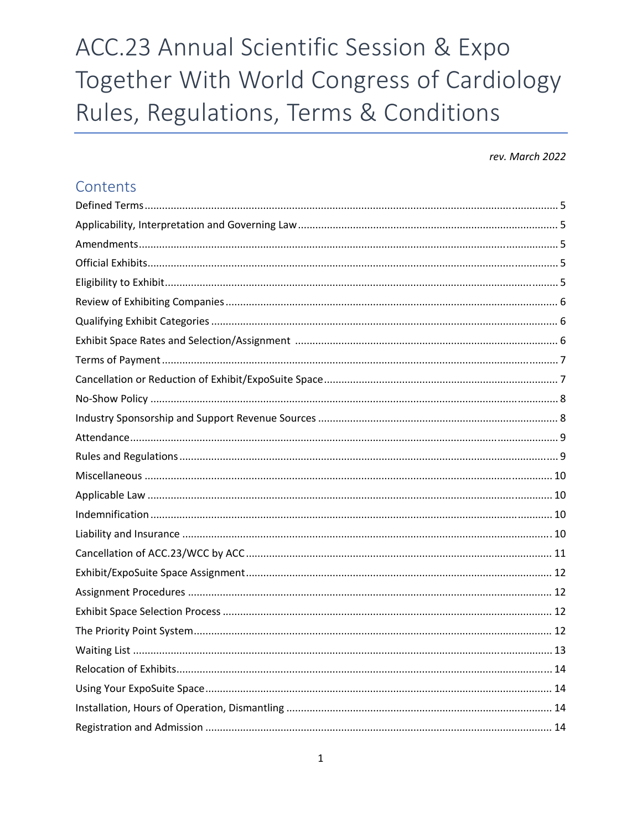# ACC.23 Annual Scientific Session & Expo Together With World Congress of Cardiology Rules, Regulations, Terms & Conditions

## rev. March 2022

## Contents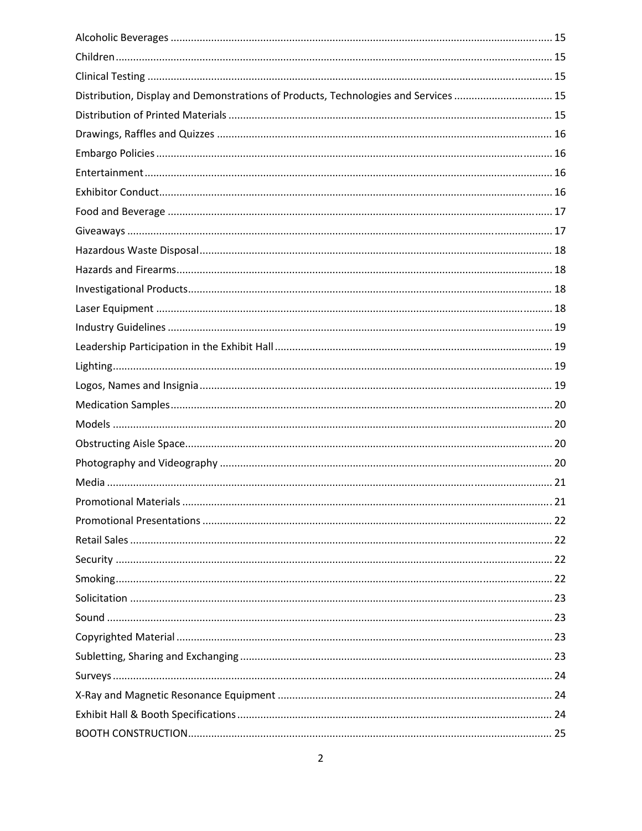| Distribution, Display and Demonstrations of Products, Technologies and Services  15 |  |
|-------------------------------------------------------------------------------------|--|
|                                                                                     |  |
|                                                                                     |  |
|                                                                                     |  |
|                                                                                     |  |
|                                                                                     |  |
|                                                                                     |  |
|                                                                                     |  |
|                                                                                     |  |
|                                                                                     |  |
|                                                                                     |  |
|                                                                                     |  |
|                                                                                     |  |
|                                                                                     |  |
|                                                                                     |  |
|                                                                                     |  |
|                                                                                     |  |
|                                                                                     |  |
|                                                                                     |  |
|                                                                                     |  |
|                                                                                     |  |
|                                                                                     |  |
|                                                                                     |  |
|                                                                                     |  |
|                                                                                     |  |
|                                                                                     |  |
|                                                                                     |  |
|                                                                                     |  |
|                                                                                     |  |
|                                                                                     |  |
|                                                                                     |  |
|                                                                                     |  |
|                                                                                     |  |
|                                                                                     |  |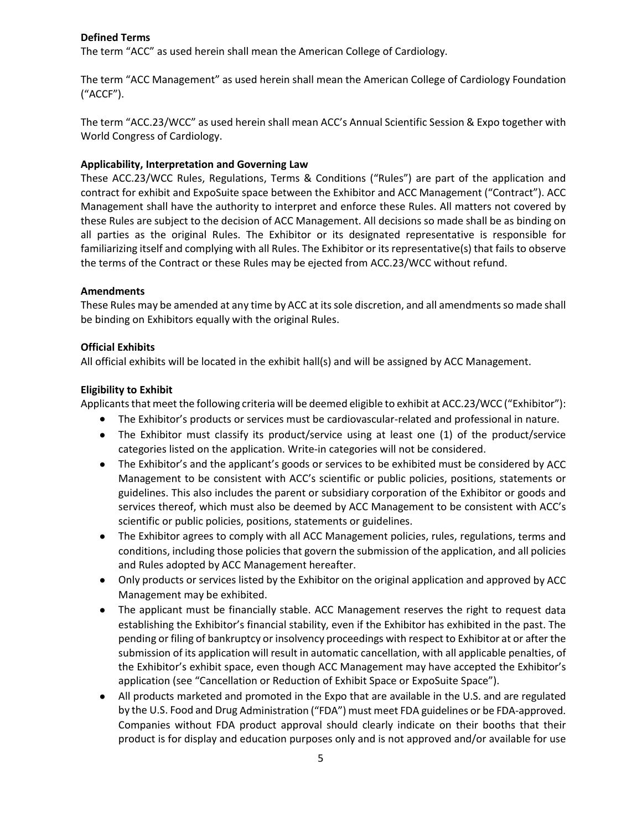## **Defined Terms**

The term "ACC" as used herein shall mean the American College of Cardiology.

The term "ACC Management" as used herein shall mean the American College of Cardiology Foundation ("ACCF").

The term "ACC.23/WCC" as used herein shall mean ACC's Annual Scientific Session & Expo together with World Congress of Cardiology.

## **Applicability, Interpretation and Governing Law**

These ACC.23/WCC Rules, Regulations, Terms & Conditions ("Rules") are part of the application and contract for exhibit and ExpoSuite space between the Exhibitor and ACC Management ("Contract"). ACC Management shall have the authority to interpret and enforce these Rules. All matters not covered by these Rules are subject to the decision of ACC Management. All decisions so made shall be as binding on all parties as the original Rules. The Exhibitor or its designated representative is responsible for familiarizing itself and complying with all Rules. The Exhibitor or its representative(s) that fails to observe the terms of the Contract or these Rules may be ejected from ACC.23/WCC without refund.

## **Amendments**

These Rules may be amended at any time by ACC at itssole discretion, and all amendmentsso made shall be binding on Exhibitors equally with the original Rules.

## **Official Exhibits**

All official exhibits will be located in the exhibit hall(s) and will be assigned by ACC Management.

## **Eligibility to Exhibit**

Applicants that meet the following criteria will be deemed eligible to exhibit at ACC.23/WCC ("Exhibitor"):

- The Exhibitor's products or services must be cardiovascular-related and professional in nature.
- The Exhibitor must classify its product/service using at least one (1) of the product/service categories listed on the application. Write‐in categories will not be considered.
- The Exhibitor's and the applicant's goods or services to be exhibited must be considered by ACC Management to be consistent with ACC's scientific or public policies, positions, statements or guidelines. This also includes the parent or subsidiary corporation of the Exhibitor or goods and services thereof, which must also be deemed by ACC Management to be consistent with ACC's scientific or public policies, positions, statements or guidelines.
- The Exhibitor agrees to comply with all ACC Management policies, rules, regulations, terms and conditions, including those policies that govern the submission of the application, and all policies and Rules adopted by ACC Management hereafter.
- Only products or services listed by the Exhibitor on the original application and approved by ACC Management may be exhibited.
- The applicant must be financially stable. ACC Management reserves the right to request data establishing the Exhibitor's financial stability, even if the Exhibitor has exhibited in the past. The pending or filing of bankruptcy or insolvency proceedings with respect to Exhibitor at or after the submission of its application will result in automatic cancellation, with all applicable penalties, of the Exhibitor's exhibit space, even though ACC Management may have accepted the Exhibitor's application (see "Cancellation or Reduction of Exhibit Space or ExpoSuite Space").
- All products marketed and promoted in the Expo that are available in the U.S. and are regulated by the U.S. Food and Drug Administration ("FDA") must meet FDA guidelines or be FDA‐approved. Companies without FDA product approval should clearly indicate on their booths that their product is for display and education purposes only and is not approved and/or available for use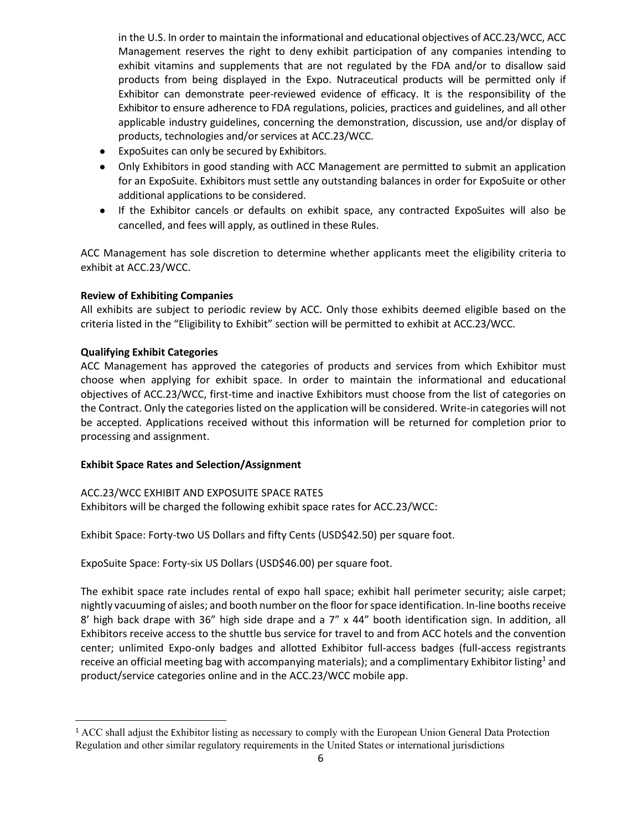in the U.S. In order to maintain the informational and educational objectives of ACC.23/WCC, ACC Management reserves the right to deny exhibit participation of any companies intending to exhibit vitamins and supplements that are not regulated by the FDA and/or to disallow said products from being displayed in the Expo. Nutraceutical products will be permitted only if Exhibitor can demonstrate peer‐reviewed evidence of efficacy. It is the responsibility of the Exhibitor to ensure adherence to FDA regulations, policies, practices and guidelines, and all other applicable industry guidelines, concerning the demonstration, discussion, use and/or display of products, technologies and/or services at ACC.23/WCC.

- ExpoSuites can only be secured by Exhibitors.
- Only Exhibitors in good standing with ACC Management are permitted to submit an application for an ExpoSuite. Exhibitors must settle any outstanding balances in order for ExpoSuite or other additional applications to be considered.
- If the Exhibitor cancels or defaults on exhibit space, any contracted ExpoSuites will also be cancelled, and fees will apply, as outlined in these Rules.

ACC Management has sole discretion to determine whether applicants meet the eligibility criteria to exhibit at ACC.23/WCC.

## **Review of Exhibiting Companies**

All exhibits are subject to periodic review by ACC. Only those exhibits deemed eligible based on the criteria listed in the "Eligibility to Exhibit" section will be permitted to exhibit at ACC.23/WCC.

## **Qualifying Exhibit Categories**

ACC Management has approved the categories of products and services from which Exhibitor must choose when applying for exhibit space. In order to maintain the informational and educational objectives of ACC.23/WCC, first‐time and inactive Exhibitors must choose from the list of categories on the Contract. Only the categories listed on the application will be considered. Write‐in categories will not be accepted. Applications received without this information will be returned for completion prior to processing and assignment.

#### **Exhibit Space Rates and Selection/Assignment**

## ACC.23/WCC EXHIBIT AND EXPOSUITE SPACE RATES Exhibitors will be charged the following exhibit space rates for ACC.23/WCC:

Exhibit Space: Forty-two US Dollars and fifty Cents (USD\$42.50) per square foot.

ExpoSuite Space: Forty‐six US Dollars (USD\$46.00) per square foot.

The exhibit space rate includes rental of expo hall space; exhibit hall perimeter security; aisle carpet; nightly vacuuming of aisles; and booth number on the floor for space identification. In-line booths receive 8' high back drape with 36" high side drape and a  $7''$  x 44" booth identification sign. In addition, all Exhibitors receive access to the shuttle bus service for travel to and from ACC hotels and the convention center; unlimited Expo‐only badges and allotted Exhibitor full‐access badges (full‐access registrants receive an official meeting bag with accompanying materials); and a complimentary Exhibitor listing<sup>1</sup> and product/service categories online and in the ACC.23/WCC mobile app.

<sup>1</sup> ACC shall adjust the Exhibitor listing as necessary to comply with the European Union General Data Protection Regulation and other similar regulatory requirements in the United States or international jurisdictions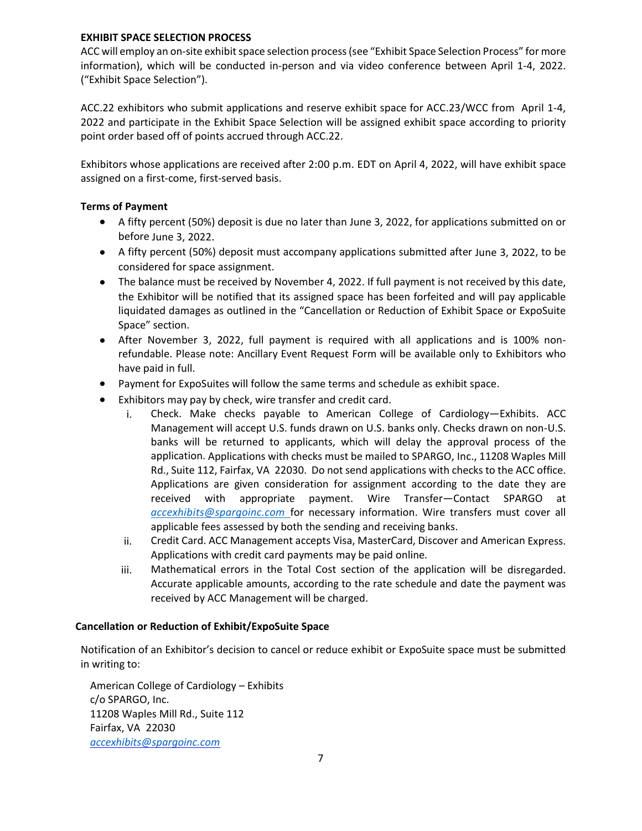## **EXHIBIT SPACE SELECTION PROCESS**

ACC will employ an on-site exhibit space selection process (see "Exhibit Space Selection Process" for more information), which will be conducted in‐person and via video conference between April 1‐4, 2022. ("Exhibit Space Selection").

ACC.22 exhibitors who submit applications and reserve exhibit space for ACC.23/WCC from April 1‐4, 2022 and participate in the Exhibit Space Selection will be assigned exhibit space according to priority point order based off of points accrued through ACC.22.

Exhibitors whose applications are received after 2:00 p.m. EDT on April 4, 2022, will have exhibit space assigned on a first‐come, first‐served basis.

## **Terms of Payment**

- A fifty percent (50%) deposit is due no later than June 3, 2022, for applications submitted on or before June 3, 2022.
- A fifty percent (50%) deposit must accompany applications submitted after June 3, 2022, to be considered for space assignment.
- The balance must be received by November 4, 2022. If full payment is not received by this date, the Exhibitor will be notified that its assigned space has been forfeited and will pay applicable liquidated damages as outlined in the "Cancellation or Reduction of Exhibit Space or ExpoSuite Space" section.
- After November 3, 2022, full payment is required with all applications and is 100% nonrefundable. Please note: Ancillary Event Request Form will be available only to Exhibitors who have paid in full.
- Payment for ExpoSuites will follow the same terms and schedule as exhibit space.
- Exhibitors may pay by check, wire transfer and credit card.
	- i. Check. Make checks payable to American College of Cardiology—Exhibits. ACC Management will accept U.S. funds drawn on U.S. banks only. Checks drawn on non‐U.S. banks will be returned to applicants, which will delay the approval process of the application. Applications with checks must be mailed to SPARGO, Inc., 11208 Waples Mill Rd., Suite 112, Fairfax, VA 22030. Do not send applications with checks to the ACC office. Applications are given consideration for assignment according to the date they are received with appropriate payment. Wire Transfer—Contact SPARGO at *accexhibits@spargoinc.com* for necessary information. Wire transfers must cover all applicable fees assessed by both the sending and receiving banks.
	- ii. Credit Card. ACC Management accepts Visa, MasterCard, Discover and American Express. Applications with credit card payments may be paid online*.*
	- iii. Mathematical errors in the Total Cost section of the application will be disregarded. Accurate applicable amounts, according to the rate schedule and date the payment was received by ACC Management will be charged.

#### **Cancellation or Reduction of Exhibit/ExpoSuite Space**

Notification of an Exhibitor's decision to cancel or reduce exhibit or ExpoSuite space must be submitted in writing to:

American College of Cardiology – Exhibits c/o SPARGO, Inc. 11208 Waples Mill Rd., Suite 112 Fairfax, VA 22030 *accexhibits@spargoinc.com*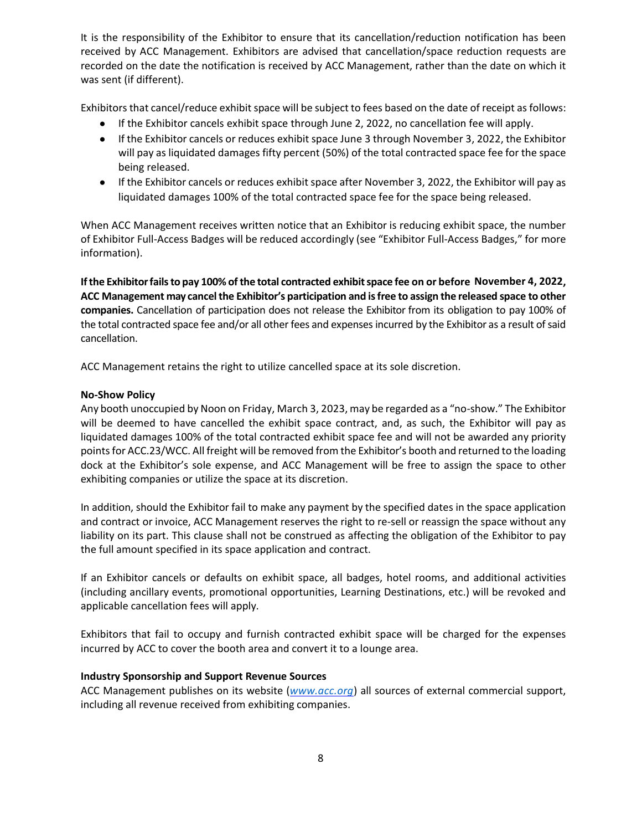It is the responsibility of the Exhibitor to ensure that its cancellation/reduction notification has been received by ACC Management. Exhibitors are advised that cancellation/space reduction requests are recorded on the date the notification is received by ACC Management, rather than the date on which it was sent (if different).

Exhibitors that cancel/reduce exhibit space will be subject to fees based on the date of receipt as follows:

- If the Exhibitor cancels exhibit space through June 2, 2022, no cancellation fee will apply.
- If the Exhibitor cancels or reduces exhibit space June 3 through November 3, 2022, the Exhibitor will pay as liquidated damages fifty percent (50%) of the total contracted space fee for the space being released.
- If the Exhibitor cancels or reduces exhibit space after November 3, 2022, the Exhibitor will pay as liquidated damages 100% of the total contracted space fee for the space being released.

When ACC Management receives written notice that an Exhibitor is reducing exhibit space, the number of Exhibitor Full‐Access Badges will be reduced accordingly (see "Exhibitor Full‐Access Badges," for more information).

**Ifthe Exhibitorfailsto pay 100% of the total contracted exhibitspace fee on or before November 4, 2022, ACC Management may cancelthe Exhibitor's participation and isfree to assign the released space to other companies.** Cancellation of participation does not release the Exhibitor from its obligation to pay 100% of the total contracted space fee and/or all other fees and expenses incurred by the Exhibitor as a result of said cancellation.

ACC Management retains the right to utilize cancelled space at its sole discretion.

## **No‐Show Policy**

Any booth unoccupied by Noon on Friday, March 3, 2023, may be regarded as a "no‐show." The Exhibitor will be deemed to have cancelled the exhibit space contract, and, as such, the Exhibitor will pay as liquidated damages 100% of the total contracted exhibit space fee and will not be awarded any priority points for ACC.23/WCC. All freight will be removed from the Exhibitor's booth and returned to the loading dock at the Exhibitor's sole expense, and ACC Management will be free to assign the space to other exhibiting companies or utilize the space at its discretion.

In addition, should the Exhibitor fail to make any payment by the specified dates in the space application and contract or invoice, ACC Management reserves the right to re-sell or reassign the space without any liability on its part. This clause shall not be construed as affecting the obligation of the Exhibitor to pay the full amount specified in its space application and contract.

If an Exhibitor cancels or defaults on exhibit space, all badges, hotel rooms, and additional activities (including ancillary events, promotional opportunities, Learning Destinations, etc.) will be revoked and applicable cancellation fees will apply.

Exhibitors that fail to occupy and furnish contracted exhibit space will be charged for the expenses incurred by ACC to cover the booth area and convert it to a lounge area.

## **Industry Sponsorship and Support Revenue Sources**

ACC Management publishes on its website (*www.acc.org*) all sources of external commercial support, including all revenue received from exhibiting companies.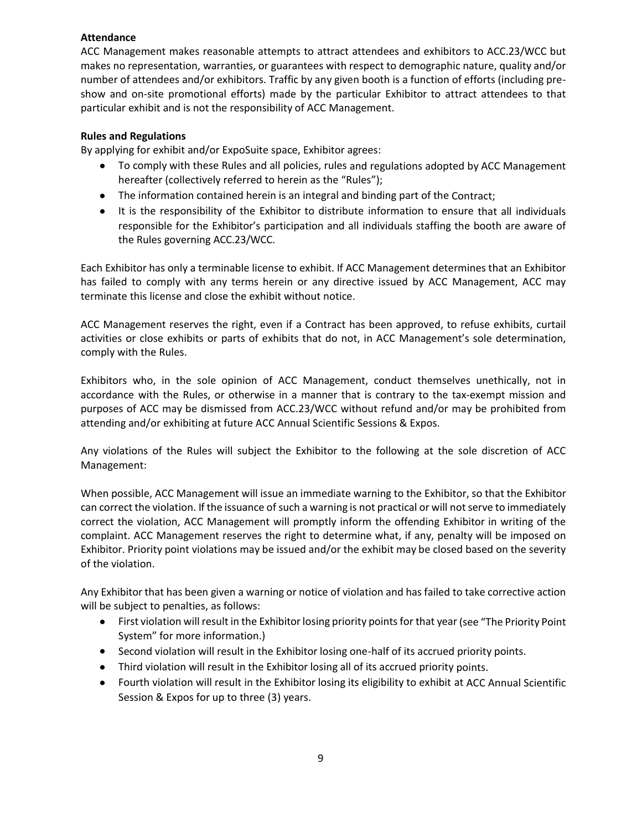## **Attendance**

ACC Management makes reasonable attempts to attract attendees and exhibitors to ACC.23/WCC but makes no representation, warranties, or guarantees with respect to demographic nature, quality and/or number of attendees and/or exhibitors. Traffic by any given booth is a function of efforts (including pre‐ show and on‐site promotional efforts) made by the particular Exhibitor to attract attendees to that particular exhibit and is not the responsibility of ACC Management.

## **Rules and Regulations**

By applying for exhibit and/or ExpoSuite space, Exhibitor agrees:

- To comply with these Rules and all policies, rules and regulations adopted by ACC Management hereafter (collectively referred to herein as the "Rules");
- The information contained herein is an integral and binding part of the Contract;
- It is the responsibility of the Exhibitor to distribute information to ensure that all individuals responsible for the Exhibitor's participation and all individuals staffing the booth are aware of the Rules governing ACC.23/WCC.

Each Exhibitor has only a terminable license to exhibit. If ACC Management determines that an Exhibitor has failed to comply with any terms herein or any directive issued by ACC Management, ACC may terminate this license and close the exhibit without notice.

ACC Management reserves the right, even if a Contract has been approved, to refuse exhibits, curtail activities or close exhibits or parts of exhibits that do not, in ACC Management's sole determination, comply with the Rules.

Exhibitors who, in the sole opinion of ACC Management, conduct themselves unethically, not in accordance with the Rules, or otherwise in a manner that is contrary to the tax‐exempt mission and purposes of ACC may be dismissed from ACC.23/WCC without refund and/or may be prohibited from attending and/or exhibiting at future ACC Annual Scientific Sessions & Expos.

Any violations of the Rules will subject the Exhibitor to the following at the sole discretion of ACC Management:

When possible, ACC Management will issue an immediate warning to the Exhibitor, so that the Exhibitor can correct the violation. If the issuance of such a warning is not practical or will not serve to immediately correct the violation, ACC Management will promptly inform the offending Exhibitor in writing of the complaint. ACC Management reserves the right to determine what, if any, penalty will be imposed on Exhibitor. Priority point violations may be issued and/or the exhibit may be closed based on the severity of the violation.

Any Exhibitor that has been given a warning or notice of violation and has failed to take corrective action will be subject to penalties, as follows:

- First violation will result in the Exhibitor losing priority points for that year (see "The Priority Point System" for more information.)
- Second violation will result in the Exhibitor losing one-half of its accrued priority points.
- Third violation will result in the Exhibitor losing all of its accrued priority points.
- Fourth violation will result in the Exhibitor losing its eligibility to exhibit at ACC Annual Scientific Session & Expos for up to three (3) years.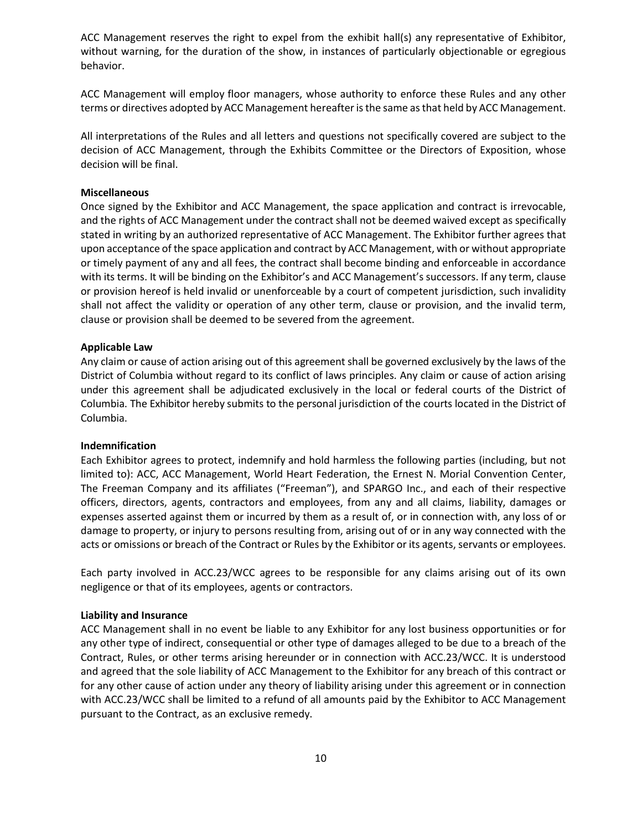ACC Management reserves the right to expel from the exhibit hall(s) any representative of Exhibitor, without warning, for the duration of the show, in instances of particularly objectionable or egregious behavior.

ACC Management will employ floor managers, whose authority to enforce these Rules and any other terms or directives adopted by ACC Management hereafteristhe same asthat held by ACC Management.

All interpretations of the Rules and all letters and questions not specifically covered are subject to the decision of ACC Management, through the Exhibits Committee or the Directors of Exposition, whose decision will be final.

#### **Miscellaneous**

Once signed by the Exhibitor and ACC Management, the space application and contract is irrevocable, and the rights of ACC Management under the contract shall not be deemed waived except as specifically stated in writing by an authorized representative of ACC Management. The Exhibitor further agrees that upon acceptance of the space application and contract by ACC Management, with or without appropriate or timely payment of any and all fees, the contract shall become binding and enforceable in accordance with its terms. It will be binding on the Exhibitor's and ACC Management's successors. If any term, clause or provision hereof is held invalid or unenforceable by a court of competent jurisdiction, such invalidity shall not affect the validity or operation of any other term, clause or provision, and the invalid term, clause or provision shall be deemed to be severed from the agreement.

#### **Applicable Law**

Any claim or cause of action arising out of this agreement shall be governed exclusively by the laws of the District of Columbia without regard to its conflict of laws principles. Any claim or cause of action arising under this agreement shall be adjudicated exclusively in the local or federal courts of the District of Columbia. The Exhibitor hereby submits to the personal jurisdiction of the courts located in the District of Columbia.

#### **Indemnification**

Each Exhibitor agrees to protect, indemnify and hold harmless the following parties (including, but not limited to): ACC, ACC Management, World Heart Federation, the Ernest N. Morial Convention Center, The Freeman Company and its affiliates ("Freeman"), and SPARGO Inc., and each of their respective officers, directors, agents, contractors and employees, from any and all claims, liability, damages or expenses asserted against them or incurred by them as a result of, or in connection with, any loss of or damage to property, or injury to persons resulting from, arising out of or in any way connected with the acts or omissions or breach of the Contract or Rules by the Exhibitor or its agents, servants or employees.

Each party involved in ACC.23/WCC agrees to be responsible for any claims arising out of its own negligence or that of its employees, agents or contractors.

#### **Liability and Insurance**

ACC Management shall in no event be liable to any Exhibitor for any lost business opportunities or for any other type of indirect, consequential or other type of damages alleged to be due to a breach of the Contract, Rules, or other terms arising hereunder or in connection with ACC.23/WCC. It is understood and agreed that the sole liability of ACC Management to the Exhibitor for any breach of this contract or for any other cause of action under any theory of liability arising under this agreement or in connection with ACC.23/WCC shall be limited to a refund of all amounts paid by the Exhibitor to ACC Management pursuant to the Contract, as an exclusive remedy.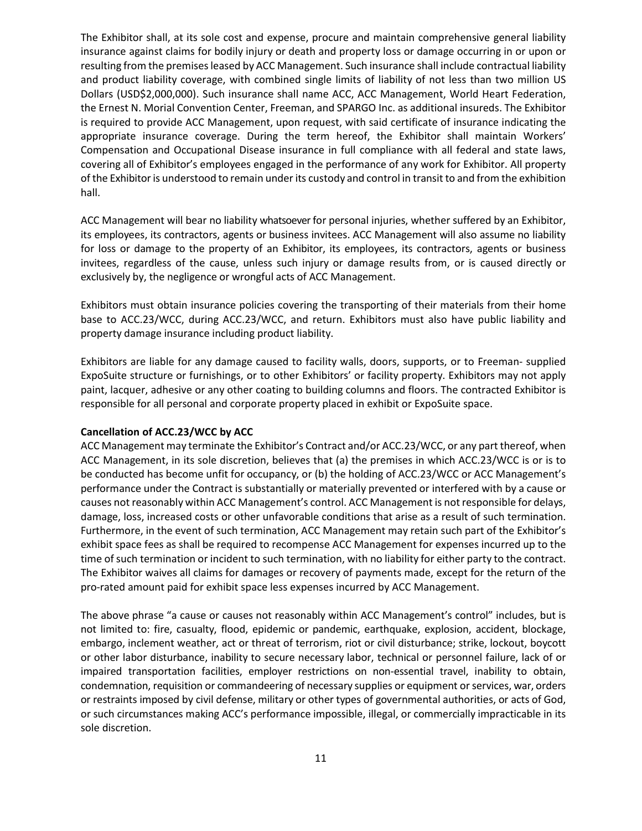The Exhibitor shall, at its sole cost and expense, procure and maintain comprehensive general liability insurance against claims for bodily injury or death and property loss or damage occurring in or upon or resulting from the premisesleased by ACC Management. Such insurance shall include contractual liability and product liability coverage, with combined single limits of liability of not less than two million US Dollars (USD\$2,000,000). Such insurance shall name ACC, ACC Management, World Heart Federation, the Ernest N. Morial Convention Center, Freeman, and SPARGO Inc. as additional insureds. The Exhibitor is required to provide ACC Management, upon request, with said certificate of insurance indicating the appropriate insurance coverage. During the term hereof, the Exhibitor shall maintain Workers' Compensation and Occupational Disease insurance in full compliance with all federal and state laws, covering all of Exhibitor's employees engaged in the performance of any work for Exhibitor. All property of the Exhibitor is understood to remain under its custody and control in transit to and from the exhibition hall.

ACC Management will bear no liability whatsoeverfor personal injuries, whether suffered by an Exhibitor, its employees, its contractors, agents or business invitees. ACC Management will also assume no liability for loss or damage to the property of an Exhibitor, its employees, its contractors, agents or business invitees, regardless of the cause, unless such injury or damage results from, or is caused directly or exclusively by, the negligence or wrongful acts of ACC Management.

Exhibitors must obtain insurance policies covering the transporting of their materials from their home base to ACC.23/WCC, during ACC.23/WCC, and return. Exhibitors must also have public liability and property damage insurance including product liability.

Exhibitors are liable for any damage caused to facility walls, doors, supports, or to Freeman‐ supplied ExpoSuite structure or furnishings, or to other Exhibitors' or facility property. Exhibitors may not apply paint, lacquer, adhesive or any other coating to building columns and floors. The contracted Exhibitor is responsible for all personal and corporate property placed in exhibit or ExpoSuite space.

#### **Cancellation of ACC.23/WCC by ACC**

ACC Management may terminate the Exhibitor's Contract and/or ACC.23/WCC, or any part thereof, when ACC Management, in its sole discretion, believes that (a) the premises in which ACC.23/WCC is or is to be conducted has become unfit for occupancy, or (b) the holding of ACC.23/WCC or ACC Management's performance under the Contract is substantially or materially prevented or interfered with by a cause or causes not reasonably within ACC Management's control. ACC Management is not responsible for delays, damage, loss, increased costs or other unfavorable conditions that arise as a result of such termination. Furthermore, in the event of such termination, ACC Management may retain such part of the Exhibitor's exhibit space fees as shall be required to recompense ACC Management for expenses incurred up to the time of such termination or incident to such termination, with no liability for either party to the contract. The Exhibitor waives all claims for damages or recovery of payments made, except for the return of the pro‐rated amount paid for exhibit space less expenses incurred by ACC Management.

The above phrase "a cause or causes not reasonably within ACC Management's control" includes, but is not limited to: fire, casualty, flood, epidemic or pandemic, earthquake, explosion, accident, blockage, embargo, inclement weather, act or threat of terrorism, riot or civil disturbance; strike, lockout, boycott or other labor disturbance, inability to secure necessary labor, technical or personnel failure, lack of or impaired transportation facilities, employer restrictions on non-essential travel, inability to obtain, condemnation, requisition or commandeering of necessary supplies or equipment or services, war, orders or restraints imposed by civil defense, military or other types of governmental authorities, or acts of God, or such circumstances making ACC's performance impossible, illegal, or commercially impracticable in its sole discretion.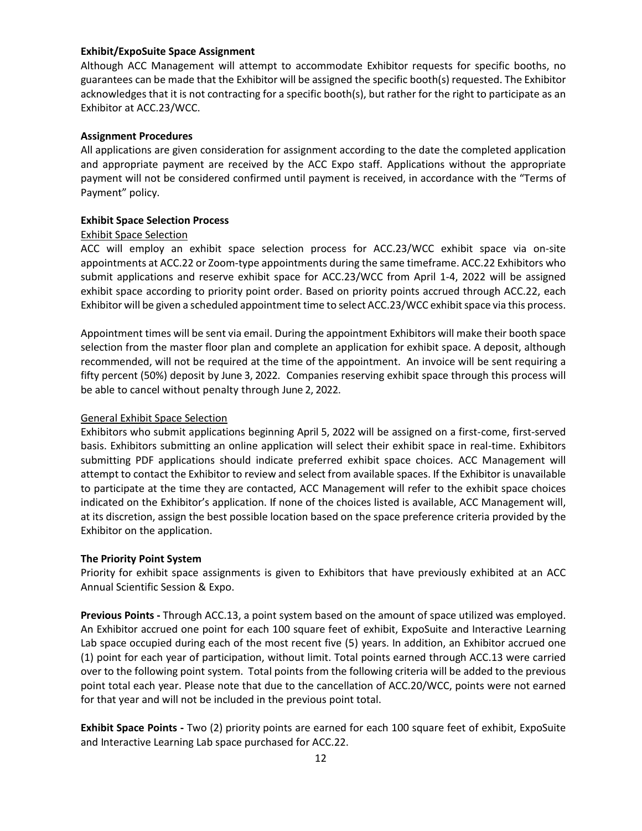### **Exhibit/ExpoSuite Space Assignment**

Although ACC Management will attempt to accommodate Exhibitor requests for specific booths, no guarantees can be made that the Exhibitor will be assigned the specific booth(s) requested. The Exhibitor acknowledges that it is not contracting for a specific booth(s), but rather for the right to participate as an Exhibitor at ACC.23/WCC.

## **Assignment Procedures**

All applications are given consideration for assignment according to the date the completed application and appropriate payment are received by the ACC Expo staff. Applications without the appropriate payment will not be considered confirmed until payment is received, in accordance with the "Terms of Payment" policy.

## **Exhibit Space Selection Process**

## Exhibit Space Selection

ACC will employ an exhibit space selection process for ACC.23/WCC exhibit space via on‐site appointments at ACC.22 or Zoom‐type appointments during the same timeframe. ACC.22 Exhibitors who submit applications and reserve exhibit space for ACC.23/WCC from April 1‐4, 2022 will be assigned exhibit space according to priority point order. Based on priority points accrued through ACC.22, each Exhibitor will be given a scheduled appointment time to select ACC.23/WCC exhibit space via this process.

Appointment times will be sent via email. During the appointment Exhibitors will make their booth space selection from the master floor plan and complete an application for exhibit space. A deposit, although recommended, will not be required at the time of the appointment. An invoice will be sent requiring a fifty percent (50%) deposit by June 3, 2022. Companies reserving exhibit space through this process will be able to cancel without penalty through June 2, 2022.

## General Exhibit Space Selection

Exhibitors who submit applications beginning April 5, 2022 will be assigned on a first‐come, first‐served basis. Exhibitors submitting an online application will select their exhibit space in real‐time. Exhibitors submitting PDF applications should indicate preferred exhibit space choices. ACC Management will attempt to contact the Exhibitor to review and select from available spaces. If the Exhibitor is unavailable to participate at the time they are contacted, ACC Management will refer to the exhibit space choices indicated on the Exhibitor's application. If none of the choices listed is available, ACC Management will, at its discretion, assign the best possible location based on the space preference criteria provided by the Exhibitor on the application.

#### **The Priority Point System**

Priority for exhibit space assignments is given to Exhibitors that have previously exhibited at an ACC Annual Scientific Session & Expo.

**Previous Points ‐** Through ACC.13, a point system based on the amount of space utilized was employed. An Exhibitor accrued one point for each 100 square feet of exhibit, ExpoSuite and Interactive Learning Lab space occupied during each of the most recent five (5) years. In addition, an Exhibitor accrued one (1) point for each year of participation, without limit. Total points earned through ACC.13 were carried over to the following point system. Total points from the following criteria will be added to the previous point total each year. Please note that due to the cancellation of ACC.20/WCC, points were not earned for that year and will not be included in the previous point total.

**Exhibit Space Points ‐** Two (2) priority points are earned for each 100 square feet of exhibit, ExpoSuite and Interactive Learning Lab space purchased for ACC.22.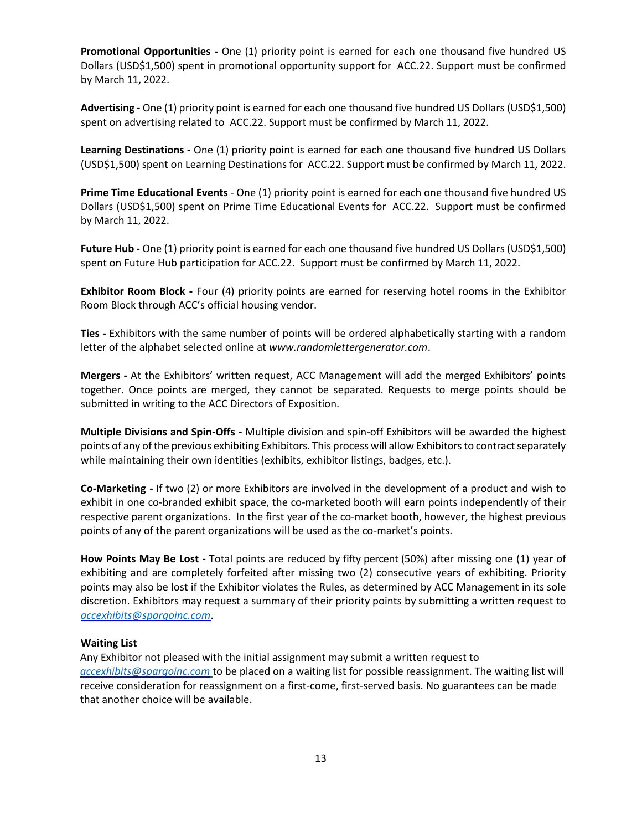**Promotional Opportunities ‐** One (1) priority point is earned for each one thousand five hundred US Dollars (USD\$1,500) spent in promotional opportunity support for ACC.22. Support must be confirmed by March 11, 2022.

**Advertising ‐** One (1) priority point is earned for each one thousand five hundred US Dollars (USD\$1,500) spent on advertising related to ACC.22. Support must be confirmed by March 11, 2022.

**Learning Destinations ‐** One (1) priority point is earned for each one thousand five hundred US Dollars (USD\$1,500) spent on Learning Destinations for ACC.22. Support must be confirmed by March 11, 2022.

**Prime Time Educational Events** ‐ One (1) priority point is earned for each one thousand five hundred US Dollars (USD\$1,500) spent on Prime Time Educational Events for ACC.22. Support must be confirmed by March 11, 2022.

**Future Hub ‐** One (1) priority point is earned for each one thousand five hundred US Dollars (USD\$1,500) spent on Future Hub participation for ACC.22. Support must be confirmed by March 11, 2022.

**Exhibitor Room Block ‐**  Four (4) priority points are earned for reserving hotel rooms in the Exhibitor Room Block through ACC's official housing vendor.

**Ties ‐** Exhibitors with the same number of points will be ordered alphabetically starting with a random letter of the alphabet selected online at *www.randomlettergenerator.com*.

**Mergers ‐** At the Exhibitors' written request, ACC Management will add the merged Exhibitors' points together. Once points are merged, they cannot be separated. Requests to merge points should be submitted in writing to the ACC Directors of Exposition.

**Multiple Divisions and Spin‐Offs ‐** Multiple division and spin‐off Exhibitors will be awarded the highest points of any of the previous exhibiting Exhibitors. This process will allow Exhibitors to contract separately while maintaining their own identities (exhibits, exhibitor listings, badges, etc.).

**Co‐Marketing ‐** If two (2) or more Exhibitors are involved in the development of a product and wish to exhibit in one co-branded exhibit space, the co-marketed booth will earn points independently of their respective parent organizations. In the first year of the co-market booth, however, the highest previous points of any of the parent organizations will be used as the co-market's points.

**How Points May Be Lost ‐** Total points are reduced by fifty percent (50%) after missing one (1) year of exhibiting and are completely forfeited after missing two (2) consecutive years of exhibiting. Priority points may also be lost if the Exhibitor violates the Rules, as determined by ACC Management in its sole discretion. Exhibitors may request a summary of their priority points by submitting a written request to *accexhibits@spargoinc.com*.

#### **Waiting List**

Any Exhibitor not pleased with the initial assignment may submit a written request to *accexhibits@spargoinc.com* to be placed on a waiting list for possible reassignment. The waiting list will receive consideration for reassignment on a first-come, first-served basis. No guarantees can be made that another choice will be available.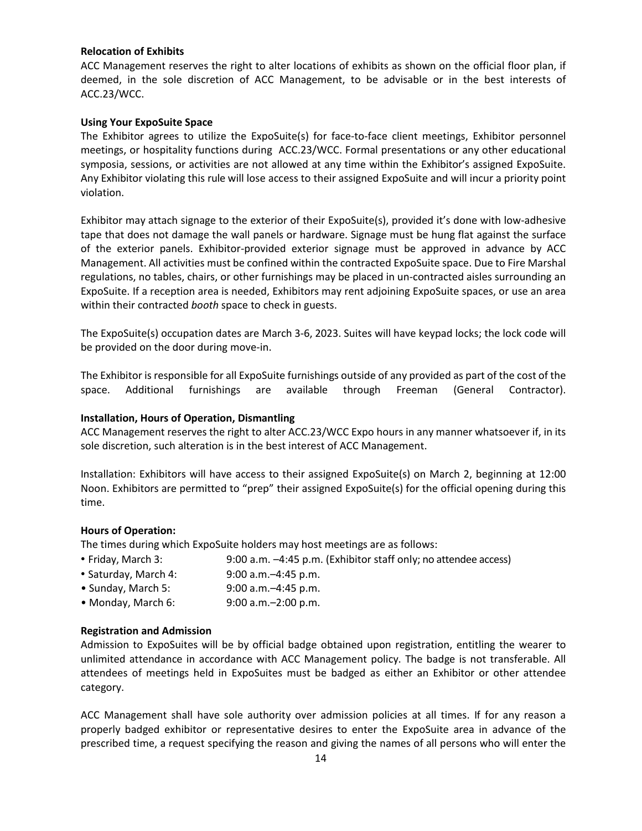## **Relocation of Exhibits**

ACC Management reserves the right to alter locations of exhibits as shown on the official floor plan, if deemed, in the sole discretion of ACC Management, to be advisable or in the best interests of ACC.23/WCC.

## **Using Your ExpoSuite Space**

The Exhibitor agrees to utilize the ExpoSuite(s) for face-to-face client meetings, Exhibitor personnel meetings, or hospitality functions during ACC.23/WCC. Formal presentations or any other educational symposia, sessions, or activities are not allowed at any time within the Exhibitor's assigned ExpoSuite. Any Exhibitor violating this rule will lose access to their assigned ExpoSuite and will incur a priority point violation.

Exhibitor may attach signage to the exterior of their ExpoSuite(s), provided it's done with low‐adhesive tape that does not damage the wall panels or hardware. Signage must be hung flat against the surface of the exterior panels. Exhibitor‐provided exterior signage must be approved in advance by ACC Management. All activities must be confined within the contracted ExpoSuite space. Due to Fire Marshal regulations, no tables, chairs, or other furnishings may be placed in un‐contracted aisles surrounding an ExpoSuite. If a reception area is needed, Exhibitors may rent adjoining ExpoSuite spaces, or use an area within their contracted *booth* space to check in guests.

The ExpoSuite(s) occupation dates are March 3‐6, 2023. Suites will have keypad locks; the lock code will be provided on the door during move‐in.

The Exhibitor is responsible for all ExpoSuite furnishings outside of any provided as part of the cost of the space. Additional furnishings are available through Freeman (General Contractor).

## **Installation, Hours of Operation, Dismantling**

ACC Management reserves the right to alter ACC.23/WCC Expo hours in any manner whatsoever if, in its sole discretion, such alteration is in the best interest of ACC Management.

Installation: Exhibitors will have access to their assigned ExpoSuite(s) on March 2, beginning at 12:00 Noon. Exhibitors are permitted to "prep" their assigned ExpoSuite(s) for the official opening during this time.

#### **Hours of Operation:**

The times during which ExpoSuite holders may host meetings are as follows:

- Friday, March 3: 9:00 a.m. –4:45 p.m. (Exhibitor staff only; no attendee access)
- Saturday, March 4: 9:00 a.m.–4:45 p.m.
- Sunday, March 5: 9:00 a.m.–4:45 p.m.
- Monday, March 6: 9:00 a.m.–2:00 p.m.

#### **Registration and Admission**

Admission to ExpoSuites will be by official badge obtained upon registration, entitling the wearer to unlimited attendance in accordance with ACC Management policy. The badge is not transferable. All attendees of meetings held in ExpoSuites must be badged as either an Exhibitor or other attendee category.

ACC Management shall have sole authority over admission policies at all times. If for any reason a properly badged exhibitor or representative desires to enter the ExpoSuite area in advance of the prescribed time, a request specifying the reason and giving the names of all persons who will enter the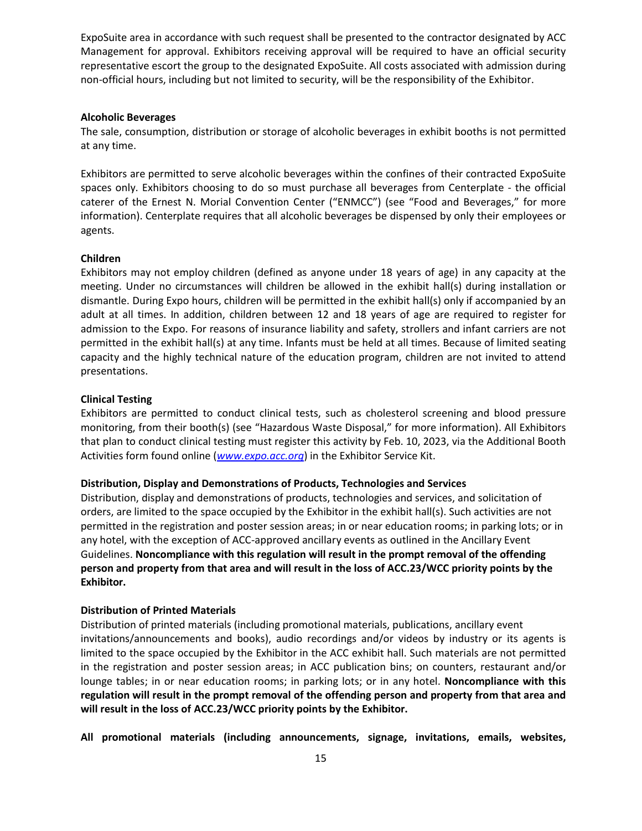ExpoSuite area in accordance with such request shall be presented to the contractor designated by ACC Management for approval. Exhibitors receiving approval will be required to have an official security representative escort the group to the designated ExpoSuite. All costs associated with admission during non‐official hours, including but not limited to security, will be the responsibility of the Exhibitor.

#### **Alcoholic Beverages**

The sale, consumption, distribution or storage of alcoholic beverages in exhibit booths is not permitted at any time.

Exhibitors are permitted to serve alcoholic beverages within the confines of their contracted ExpoSuite spaces only. Exhibitors choosing to do so must purchase all beverages from Centerplate ‐ the official caterer of the Ernest N. Morial Convention Center ("ENMCC") (see "Food and Beverages," for more information). Centerplate requires that all alcoholic beverages be dispensed by only their employees or agents.

#### **Children**

Exhibitors may not employ children (defined as anyone under 18 years of age) in any capacity at the meeting. Under no circumstances will children be allowed in the exhibit hall(s) during installation or dismantle. During Expo hours, children will be permitted in the exhibit hall(s) only if accompanied by an adult at all times. In addition, children between 12 and 18 years of age are required to register for admission to the Expo. For reasons of insurance liability and safety, strollers and infant carriers are not permitted in the exhibit hall(s) at any time. Infants must be held at all times. Because of limited seating capacity and the highly technical nature of the education program, children are not invited to attend presentations.

#### **Clinical Testing**

Exhibitors are permitted to conduct clinical tests, such as cholesterol screening and blood pressure monitoring, from their booth(s) (see "Hazardous Waste Disposal," for more information). All Exhibitors that plan to conduct clinical testing must register this activity by Feb. 10, 2023, via the Additional Booth Activities form found online (*www.expo.acc.org*) in the Exhibitor Service Kit.

#### **Distribution, Display and Demonstrations of Products, Technologies and Services**

Distribution, display and demonstrations of products, technologies and services, and solicitation of orders, are limited to the space occupied by the Exhibitor in the exhibit hall(s). Such activities are not permitted in the registration and poster session areas; in or near education rooms; in parking lots; or in any hotel, with the exception of ACC‐approved ancillary events as outlined in the Ancillary Event Guidelines. **Noncompliance with this regulation will result in the prompt removal of the offending** person and property from that area and will result in the loss of ACC.23/WCC priority points by the **Exhibitor.**

#### **Distribution of Printed Materials**

Distribution of printed materials (including promotional materials, publications, ancillary event invitations/announcements and books), audio recordings and/or videos by industry or its agents is limited to the space occupied by the Exhibitor in the ACC exhibit hall. Such materials are not permitted in the registration and poster session areas; in ACC publication bins; on counters, restaurant and/or lounge tables; in or near education rooms; in parking lots; or in any hotel. **Noncompliance with this regulation will result in the prompt removal of the offending person and property from that area and will result in the loss of ACC.23/WCC priority points by the Exhibitor.**

**All promotional materials (including announcements, signage, invitations, emails, websites,**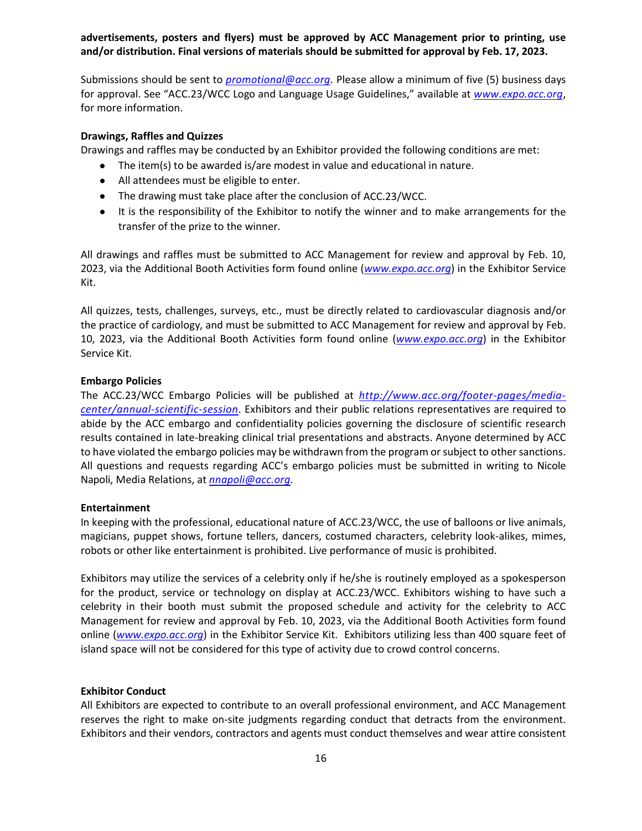**advertisements, posters and flyers) must be approved by ACC Management prior to printing, use and/or distribution. Final versions of materials should be submitted for approval by Feb. 17, 2023.** 

Submissions should be sent to *promotional@acc.org.* Please allow a minimum of five (5) business days for approval. See "ACC.23/WCC Logo and Language Usage Guidelines," available at *www.expo.acc.org*, for more information.

#### **Drawings, Raffles and Quizzes**

Drawings and raffles may be conducted by an Exhibitor provided the following conditions are met:

- The item(s) to be awarded is/are modest in value and educational in nature.
- All attendees must be eligible to enter.
- The drawing must take place after the conclusion of ACC.23/WCC.
- It is the responsibility of the Exhibitor to notify the winner and to make arrangements for the transfer of the prize to the winner.

All drawings and raffles must be submitted to ACC Management for review and approval by Feb. 10, 2023, via the Additional Booth Activities form found online (*www.expo.acc.org*) in the Exhibitor Service Kit.

All quizzes, tests, challenges, surveys, etc., must be directly related to cardiovascular diagnosis and/or the practice of cardiology, and must be submitted to ACC Management for review and approval by Feb. 10, 2023, via the Additional Booth Activities form found online (*www.expo.acc.org*) in the Exhibitor Service Kit.

#### **Embargo Policies**

The ACC.23/WCC Embargo Policies will be published at *http://www.acc.org/footer‐pages/media‐ center/annual‐scientific‐session*. Exhibitors and their public relations representatives are required to abide by the ACC embargo and confidentiality policies governing the disclosure of scientific research results contained in late‐breaking clinical trial presentations and abstracts. Anyone determined by ACC to have violated the embargo policies may be withdrawn from the program or subject to other sanctions. All questions and requests regarding ACC's embargo policies must be submitted in writing to Nicole Napoli, Media Relations, at *nnapoli@acc.org.*

#### **Entertainment**

In keeping with the professional, educational nature of ACC.23/WCC, the use of balloons or live animals, magicians, puppet shows, fortune tellers, dancers, costumed characters, celebrity look‐alikes, mimes, robots or other like entertainment is prohibited. Live performance of music is prohibited.

Exhibitors may utilize the services of a celebrity only if he/she is routinely employed as a spokesperson for the product, service or technology on display at ACC.23/WCC. Exhibitors wishing to have such a celebrity in their booth must submit the proposed schedule and activity for the celebrity to ACC Management for review and approval by Feb. 10, 2023, via the Additional Booth Activities form found online (*www.expo.acc.org*) in the Exhibitor Service Kit. Exhibitors utilizing less than 400 square feet of island space will not be considered for this type of activity due to crowd control concerns.

#### **Exhibitor Conduct**

All Exhibitors are expected to contribute to an overall professional environment, and ACC Management reserves the right to make on-site judgments regarding conduct that detracts from the environment. Exhibitors and their vendors, contractors and agents must conduct themselves and wear attire consistent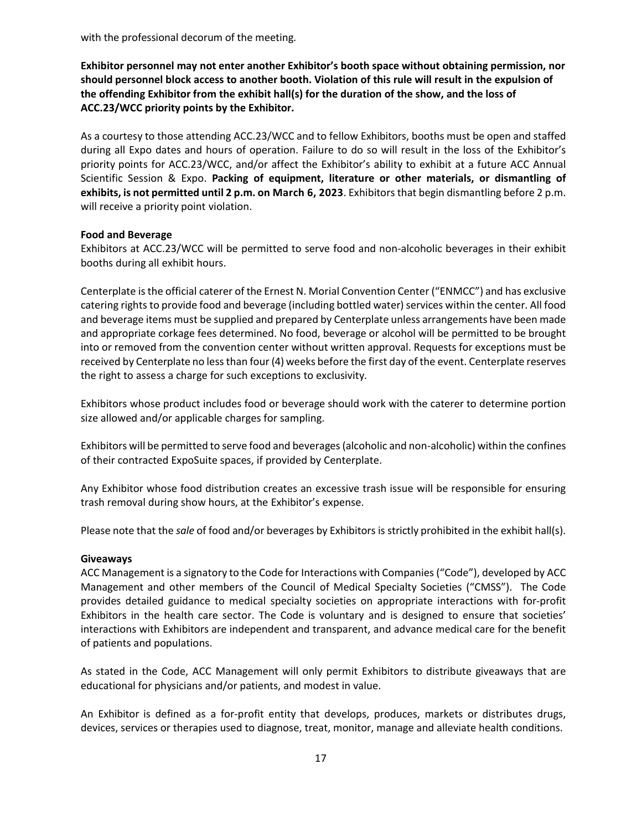with the professional decorum of the meeting.

**Exhibitor personnel may not enter another Exhibitor's booth space without obtaining permission, nor should personnel block access to another booth. Violation of this rule will result in the expulsion of the offending Exhibitor from the exhibit hall(s) for the duration of the show, and the loss of ACC.23/WCC priority points by the Exhibitor.**

As a courtesy to those attending ACC.23/WCC and to fellow Exhibitors, booths must be open and staffed during all Expo dates and hours of operation. Failure to do so will result in the loss of the Exhibitor's priority points for ACC.23/WCC, and/or affect the Exhibitor's ability to exhibit at a future ACC Annual Scientific Session & Expo. **Packing of equipment, literature or other materials, or dismantling of exhibits, is not permitted until 2 p.m. on March 6, 2023**. Exhibitorsthat begin dismantling before 2 p.m. will receive a priority point violation.

## **Food and Beverage**

Exhibitors at ACC.23/WCC will be permitted to serve food and non‐alcoholic beverages in their exhibit booths during all exhibit hours.

Centerplate isthe official caterer of the Ernest N. Morial Convention Center ("ENMCC") and has exclusive catering rights to provide food and beverage (including bottled water) services within the center. All food and beverage items must be supplied and prepared by Centerplate unless arrangements have been made and appropriate corkage fees determined. No food, beverage or alcohol will be permitted to be brought into or removed from the convention center without written approval. Requests for exceptions must be received by Centerplate no lessthan four (4) weeks before the first day of the event. Centerplate reserves the right to assess a charge for such exceptions to exclusivity.

Exhibitors whose product includes food or beverage should work with the caterer to determine portion size allowed and/or applicable charges for sampling.

Exhibitors will be permitted to serve food and beverages(alcoholic and non‐alcoholic) within the confines of their contracted ExpoSuite spaces, if provided by Centerplate.

Any Exhibitor whose food distribution creates an excessive trash issue will be responsible for ensuring trash removal during show hours, at the Exhibitor's expense.

Please note that the *sale* of food and/or beverages by Exhibitors is strictly prohibited in the exhibit hall(s).

#### **Giveaways**

ACC Management is a signatory to the Code for Interactions with Companies("Code"), developed by ACC Management and other members of the Council of Medical Specialty Societies ("CMSS"). The Code provides detailed guidance to medical specialty societies on appropriate interactions with for‐profit Exhibitors in the health care sector. The Code is voluntary and is designed to ensure that societies' interactions with Exhibitors are independent and transparent, and advance medical care for the benefit of patients and populations.

As stated in the Code, ACC Management will only permit Exhibitors to distribute giveaways that are educational for physicians and/or patients, and modest in value.

An Exhibitor is defined as a for-profit entity that develops, produces, markets or distributes drugs, devices, services or therapies used to diagnose, treat, monitor, manage and alleviate health conditions.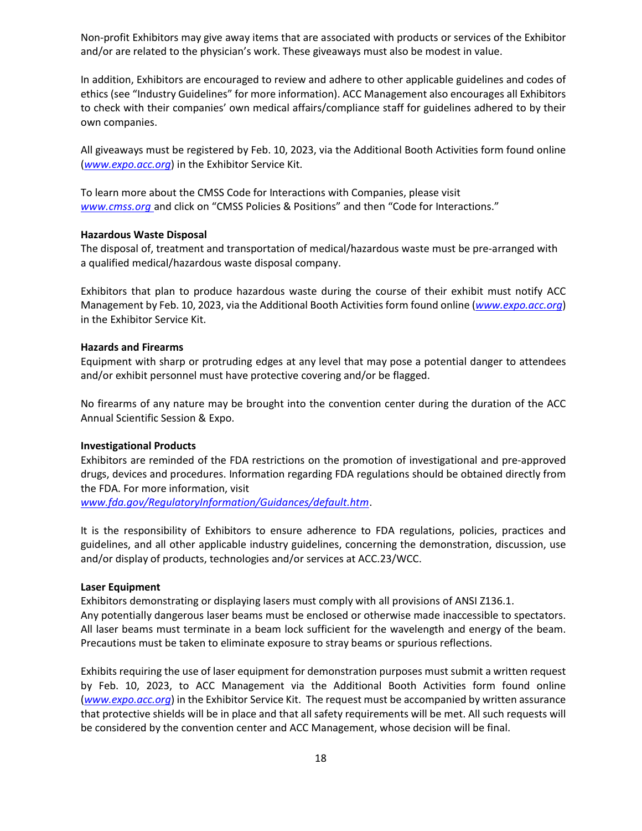Non‐profit Exhibitors may give away items that are associated with products or services of the Exhibitor and/or are related to the physician's work. These giveaways must also be modest in value.

In addition, Exhibitors are encouraged to review and adhere to other applicable guidelines and codes of ethics (see "Industry Guidelines" for more information). ACC Management also encourages all Exhibitors to check with their companies' own medical affairs/compliance staff for guidelines adhered to by their own companies.

All giveaways must be registered by Feb. 10, 2023, via the Additional Booth Activities form found online (*www.expo.acc.org*) in the Exhibitor Service Kit.

To learn more about the CMSS Code for Interactions with Companies, please visit *www.cmss.org* and click on "CMSS Policies & Positions" and then "Code for Interactions."

#### **Hazardous Waste Disposal**

The disposal of, treatment and transportation of medical/hazardous waste must be pre‐arranged with a qualified medical/hazardous waste disposal company.

Exhibitors that plan to produce hazardous waste during the course of their exhibit must notify ACC Management by Feb. 10, 2023, via the Additional Booth Activities form found online (*www.expo.acc.org*) in the Exhibitor Service Kit.

#### **Hazards and Firearms**

Equipment with sharp or protruding edges at any level that may pose a potential danger to attendees and/or exhibit personnel must have protective covering and/or be flagged.

No firearms of any nature may be brought into the convention center during the duration of the ACC Annual Scientific Session & Expo.

#### **Investigational Products**

Exhibitors are reminded of the FDA restrictions on the promotion of investigational and pre‐approved drugs, devices and procedures. Information regarding FDA regulations should be obtained directly from the FDA. For more information, visit

*www.fda.gov/RegulatoryInformation/Guidances/default.htm*.

It is the responsibility of Exhibitors to ensure adherence to FDA regulations, policies, practices and guidelines, and all other applicable industry guidelines, concerning the demonstration, discussion, use and/or display of products, technologies and/or services at ACC.23/WCC.

## **Laser Equipment**

Exhibitors demonstrating or displaying lasers must comply with all provisions of ANSI Z136.1. Any potentially dangerous laser beams must be enclosed or otherwise made inaccessible to spectators. All laser beams must terminate in a beam lock sufficient for the wavelength and energy of the beam. Precautions must be taken to eliminate exposure to stray beams or spurious reflections.

Exhibits requiring the use of laser equipment for demonstration purposes must submit a written request by Feb. 10, 2023, to ACC Management via the Additional Booth Activities form found online (*www.expo.acc.org*) in the Exhibitor Service Kit. The request must be accompanied by written assurance that protective shields will be in place and that all safety requirements will be met. All such requests will be considered by the convention center and ACC Management, whose decision will be final.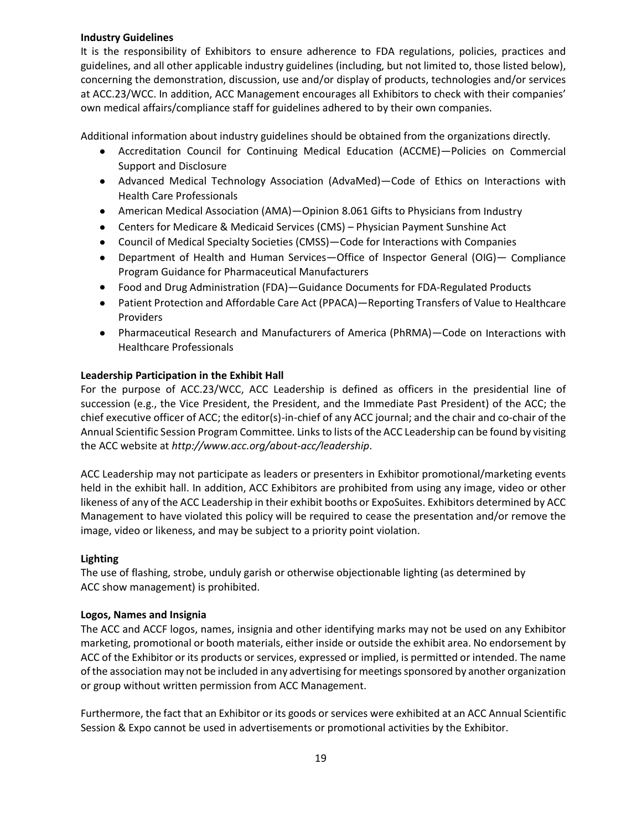## **Industry Guidelines**

It is the responsibility of Exhibitors to ensure adherence to FDA regulations, policies, practices and guidelines, and all other applicable industry guidelines (including, but not limited to, those listed below), concerning the demonstration, discussion, use and/or display of products, technologies and/or services at ACC.23/WCC. In addition, ACC Management encourages all Exhibitors to check with their companies' own medical affairs/compliance staff for guidelines adhered to by their own companies.

Additional information about industry guidelines should be obtained from the organizations directly.

- Accreditation Council for Continuing Medical Education (ACCME)—Policies on Commercial Support and Disclosure
- Advanced Medical Technology Association (AdvaMed)—Code of Ethics on Interactions with Health Care Professionals
- American Medical Association (AMA)—Opinion 8.061 Gifts to Physicians from Industry
- Centers for Medicare & Medicaid Services (CMS) Physician Payment Sunshine Act
- Council of Medical Specialty Societies (CMSS)—Code for Interactions with Companies
- Department of Health and Human Services—Office of Inspector General (OIG)— Compliance Program Guidance for Pharmaceutical Manufacturers
- Food and Drug Administration (FDA)—Guidance Documents for FDA‐Regulated Products
- Patient Protection and Affordable Care Act (PPACA)—Reporting Transfers of Value to Healthcare Providers
- Pharmaceutical Research and Manufacturers of America (PhRMA)—Code on Interactions with Healthcare Professionals

## **Leadership Participation in the Exhibit Hall**

For the purpose of ACC.23/WCC, ACC Leadership is defined as officers in the presidential line of succession (e.g., the Vice President, the President, and the Immediate Past President) of the ACC; the chief executive officer of ACC; the editor(s)‐in‐chief of any ACC journal; and the chair and co‐chair of the Annual Scientific Session Program Committee. Linksto lists of the ACC Leadership can be found by visiting the ACC website at *http://www.acc.org/about‐acc/leadership*.

ACC Leadership may not participate as leaders or presenters in Exhibitor promotional/marketing events held in the exhibit hall. In addition, ACC Exhibitors are prohibited from using any image, video or other likeness of any of the ACC Leadership in their exhibit booths or ExpoSuites. Exhibitors determined by ACC Management to have violated this policy will be required to cease the presentation and/or remove the image, video or likeness, and may be subject to a priority point violation.

## **Lighting**

The use of flashing, strobe, unduly garish or otherwise objectionable lighting (as determined by ACC show management) is prohibited.

## **Logos, Names and Insignia**

The ACC and ACCF logos, names, insignia and other identifying marks may not be used on any Exhibitor marketing, promotional or booth materials, either inside or outside the exhibit area. No endorsement by ACC of the Exhibitor or its products or services, expressed or implied, is permitted or intended. The name of the association may not be included in any advertising for meetings sponsored by another organization or group without written permission from ACC Management.

Furthermore, the fact that an Exhibitor or its goods or services were exhibited at an ACC Annual Scientific Session & Expo cannot be used in advertisements or promotional activities by the Exhibitor.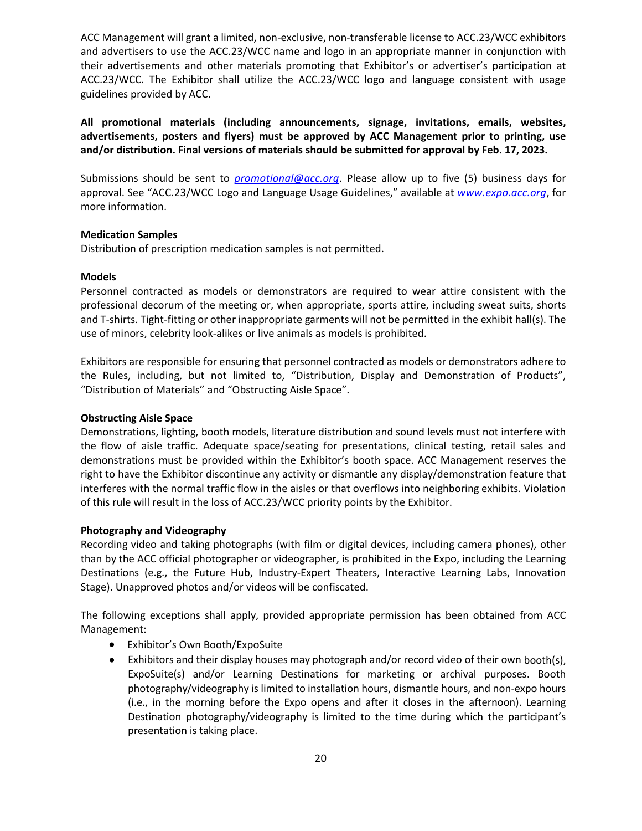ACC Management will grant a limited, non‐exclusive, non‐transferable license to ACC.23/WCC exhibitors and advertisers to use the ACC.23/WCC name and logo in an appropriate manner in conjunction with their advertisements and other materials promoting that Exhibitor's or advertiser's participation at ACC.23/WCC. The Exhibitor shall utilize the ACC.23/WCC logo and language consistent with usage guidelines provided by ACC.

**All promotional materials (including announcements, signage, invitations, emails, websites, advertisements, posters and flyers) must be approved by ACC Management prior to printing, use and/or distribution. Final versions of materials should be submitted for approval by Feb. 17, 2023.** 

Submissions should be sent to *promotional@acc.org*. Please allow up to five (5) business days for approval. See "ACC.23/WCC Logo and Language Usage Guidelines," available at *www.expo.acc.org*, for more information.

#### **Medication Samples**

Distribution of prescription medication samples is not permitted.

## **Models**

Personnel contracted as models or demonstrators are required to wear attire consistent with the professional decorum of the meeting or, when appropriate, sports attire, including sweat suits, shorts and T-shirts. Tight-fitting or other inappropriate garments will not be permitted in the exhibit hall(s). The use of minors, celebrity look‐alikes or live animals as models is prohibited.

Exhibitors are responsible for ensuring that personnel contracted as models or demonstrators adhere to the Rules, including, but not limited to, "Distribution, Display and Demonstration of Products", "Distribution of Materials" and "Obstructing Aisle Space".

## **Obstructing Aisle Space**

Demonstrations, lighting, booth models, literature distribution and sound levels must not interfere with the flow of aisle traffic. Adequate space/seating for presentations, clinical testing, retail sales and demonstrations must be provided within the Exhibitor's booth space. ACC Management reserves the right to have the Exhibitor discontinue any activity or dismantle any display/demonstration feature that interferes with the normal traffic flow in the aisles or that overflows into neighboring exhibits. Violation of this rule will result in the loss of ACC.23/WCC priority points by the Exhibitor.

## **Photography and Videography**

Recording video and taking photographs (with film or digital devices, including camera phones), other than by the ACC official photographer or videographer, is prohibited in the Expo, including the Learning Destinations (e.g., the Future Hub, Industry-Expert Theaters, Interactive Learning Labs, Innovation Stage). Unapproved photos and/or videos will be confiscated.

The following exceptions shall apply, provided appropriate permission has been obtained from ACC Management:

- Exhibitor's Own Booth/ExpoSuite
- Exhibitors and their display houses may photograph and/or record video of their own booth(s), ExpoSuite(s) and/or Learning Destinations for marketing or archival purposes. Booth photography/videography is limited to installation hours, dismantle hours, and non‐expo hours (i.e., in the morning before the Expo opens and after it closes in the afternoon). Learning Destination photography/videography is limited to the time during which the participant's presentation is taking place.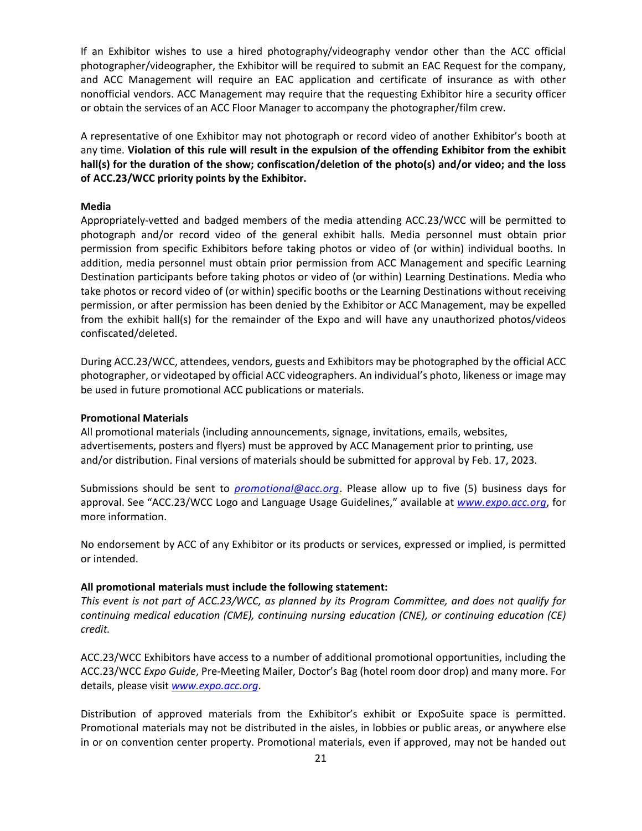If an Exhibitor wishes to use a hired photography/videography vendor other than the ACC official photographer/videographer, the Exhibitor will be required to submit an EAC Request for the company, and ACC Management will require an EAC application and certificate of insurance as with other nonofficial vendors. ACC Management may require that the requesting Exhibitor hire a security officer or obtain the services of an ACC Floor Manager to accompany the photographer/film crew.

A representative of one Exhibitor may not photograph or record video of another Exhibitor's booth at any time. **Violation of this rule will result in the expulsion of the offending Exhibitor from the exhibit hall(s) for the duration of the show; confiscation/deletion of the photo(s) and/or video; and the loss of ACC.23/WCC priority points by the Exhibitor.**

#### **Media**

Appropriately‐vetted and badged members of the media attending ACC.23/WCC will be permitted to photograph and/or record video of the general exhibit halls. Media personnel must obtain prior permission from specific Exhibitors before taking photos or video of (or within) individual booths. In addition, media personnel must obtain prior permission from ACC Management and specific Learning Destination participants before taking photos or video of (or within) Learning Destinations. Media who take photos or record video of (or within) specific booths or the Learning Destinations without receiving permission, or after permission has been denied by the Exhibitor or ACC Management, may be expelled from the exhibit hall(s) for the remainder of the Expo and will have any unauthorized photos/videos confiscated/deleted.

During ACC.23/WCC, attendees, vendors, guests and Exhibitors may be photographed by the official ACC photographer, or videotaped by official ACC videographers. An individual's photo, likeness or image may be used in future promotional ACC publications or materials.

#### **Promotional Materials**

All promotional materials (including announcements, signage, invitations, emails, websites, advertisements, posters and flyers) must be approved by ACC Management prior to printing, use and/or distribution. Final versions of materials should be submitted for approval by Feb. 17, 2023.

Submissions should be sent to *promotional@acc.org*. Please allow up to five (5) business days for approval. See "ACC.23/WCC Logo and Language Usage Guidelines," available at *www.expo.acc.org*, for more information.

No endorsement by ACC of any Exhibitor or its products or services, expressed or implied, is permitted or intended.

#### **All promotional materials must include the following statement:**

This event is not part of ACC.23/WCC, as planned by its Program Committee, and does not qualify for *continuing medical education (CME), continuing nursing education (CNE), or continuing education (CE) credit.*

ACC.23/WCC Exhibitors have access to a number of additional promotional opportunities, including the ACC.23/WCC *Expo Guide*, Pre‐Meeting Mailer, Doctor's Bag (hotel room door drop) and many more. For details, please visit *www.expo.acc.org*.

Distribution of approved materials from the Exhibitor's exhibit or ExpoSuite space is permitted. Promotional materials may not be distributed in the aisles, in lobbies or public areas, or anywhere else in or on convention center property. Promotional materials, even if approved, may not be handed out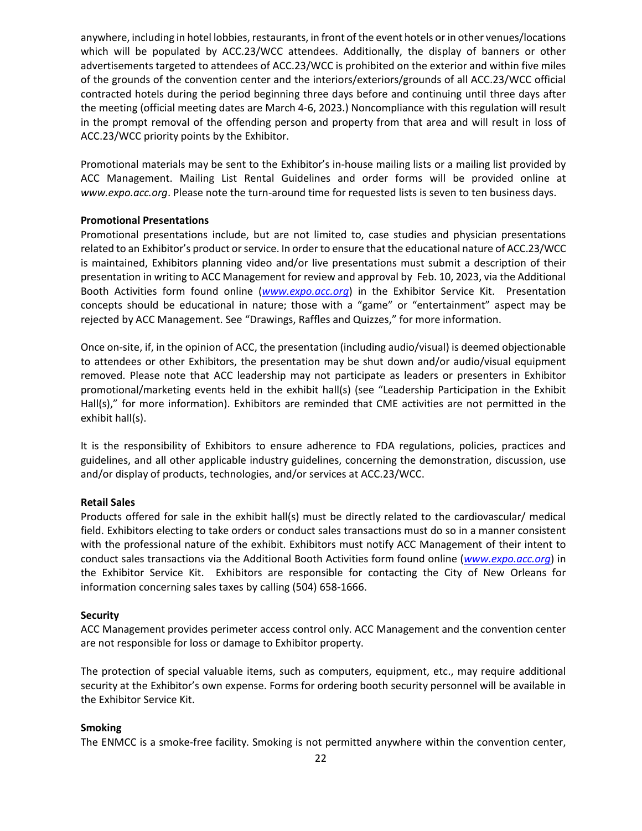anywhere, including in hotel lobbies, restaurants, in front of the event hotels or in other venues/locations which will be populated by ACC.23/WCC attendees. Additionally, the display of banners or other advertisements targeted to attendees of ACC.23/WCC is prohibited on the exterior and within five miles of the grounds of the convention center and the interiors/exteriors/grounds of all ACC.23/WCC official contracted hotels during the period beginning three days before and continuing until three days after the meeting (official meeting dates are March 4‐6, 2023.) Noncompliance with this regulation will result in the prompt removal of the offending person and property from that area and will result in loss of ACC.23/WCC priority points by the Exhibitor.

Promotional materials may be sent to the Exhibitor's in‐house mailing lists or a mailing list provided by ACC Management. Mailing List Rental Guidelines and order forms will be provided online at *www.expo.acc.org*. Please note the turn‐around time for requested lists is seven to ten business days.

## **Promotional Presentations**

Promotional presentations include, but are not limited to, case studies and physician presentations related to an Exhibitor's product or service. In order to ensure that the educational nature of ACC.23/WCC is maintained, Exhibitors planning video and/or live presentations must submit a description of their presentation in writing to ACC Management for review and approval by Feb. 10, 2023, via the Additional Booth Activities form found online (*www.expo.acc.org*) in the Exhibitor Service Kit. Presentation concepts should be educational in nature; those with a "game" or "entertainment" aspect may be rejected by ACC Management. See "Drawings, Raffles and Quizzes," for more information.

Once on‐site, if, in the opinion of ACC, the presentation (including audio/visual) is deemed objectionable to attendees or other Exhibitors, the presentation may be shut down and/or audio/visual equipment removed. Please note that ACC leadership may not participate as leaders or presenters in Exhibitor promotional/marketing events held in the exhibit hall(s) (see "Leadership Participation in the Exhibit Hall(s)," for more information). Exhibitors are reminded that CME activities are not permitted in the exhibit hall(s).

It is the responsibility of Exhibitors to ensure adherence to FDA regulations, policies, practices and guidelines, and all other applicable industry guidelines, concerning the demonstration, discussion, use and/or display of products, technologies, and/or services at ACC.23/WCC.

#### **Retail Sales**

Products offered for sale in the exhibit hall(s) must be directly related to the cardiovascular/ medical field. Exhibitors electing to take orders or conduct sales transactions must do so in a manner consistent with the professional nature of the exhibit. Exhibitors must notify ACC Management of their intent to conduct sales transactions via the Additional Booth Activities form found online (*www.expo.acc.org*) in the Exhibitor Service Kit. Exhibitors are responsible for contacting the City of New Orleans for information concerning sales taxes by calling (504) 658‐1666.

#### **Security**

ACC Management provides perimeter access control only. ACC Management and the convention center are not responsible for loss or damage to Exhibitor property.

The protection of special valuable items, such as computers, equipment, etc., may require additional security at the Exhibitor's own expense. Forms for ordering booth security personnel will be available in the Exhibitor Service Kit.

#### **Smoking**

The ENMCC is a smoke‐free facility. Smoking is not permitted anywhere within the convention center,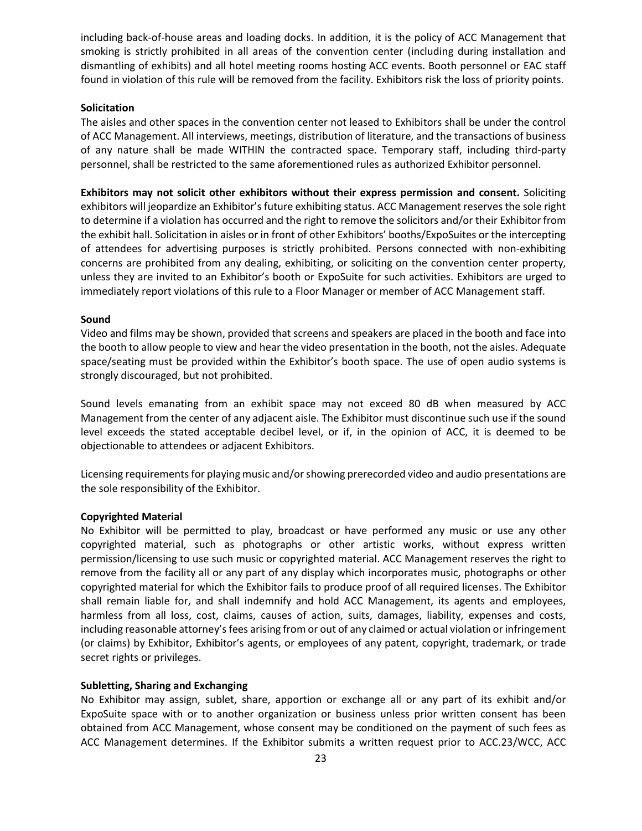including back‐of‐house areas and loading docks. In addition, it is the policy of ACC Management that smoking is strictly prohibited in all areas of the convention center (including during installation and dismantling of exhibits) and all hotel meeting rooms hosting ACC events. Booth personnel or EAC staff found in violation of this rule will be removed from the facility. Exhibitors risk the loss of priority points.

## **Solicitation**

The aisles and other spaces in the convention center not leased to Exhibitors shall be under the control of ACC Management. All interviews, meetings, distribution of literature, and the transactions of business of any nature shall be made WITHIN the contracted space. Temporary staff, including third‐party personnel, shall be restricted to the same aforementioned rules as authorized Exhibitor personnel.

**Exhibitors may not solicit other exhibitors without their express permission and consent.** Soliciting exhibitors will jeopardize an Exhibitor's future exhibiting status. ACC Management reserves the sole right to determine if a violation has occurred and the right to remove the solicitors and/or their Exhibitor from the exhibit hall. Solicitation in aisles or in front of other Exhibitors' booths/ExpoSuites or the intercepting of attendees for advertising purposes is strictly prohibited. Persons connected with non‐exhibiting concerns are prohibited from any dealing, exhibiting, or soliciting on the convention center property, unless they are invited to an Exhibitor's booth or ExpoSuite for such activities. Exhibitors are urged to immediately report violations of this rule to a Floor Manager or member of ACC Management staff.

## **Sound**

Video and films may be shown, provided that screens and speakers are placed in the booth and face into the booth to allow people to view and hear the video presentation in the booth, not the aisles. Adequate space/seating must be provided within the Exhibitor's booth space. The use of open audio systems is strongly discouraged, but not prohibited.

Sound levels emanating from an exhibit space may not exceed 80 dB when measured by ACC Management from the center of any adjacent aisle. The Exhibitor must discontinue such use if the sound level exceeds the stated acceptable decibel level, or if, in the opinion of ACC, it is deemed to be objectionable to attendees or adjacent Exhibitors.

Licensing requirements for playing music and/or showing prerecorded video and audio presentations are the sole responsibility of the Exhibitor.

#### **Copyrighted Material**

No Exhibitor will be permitted to play, broadcast or have performed any music or use any other copyrighted material, such as photographs or other artistic works, without express written permission/licensing to use such music or copyrighted material. ACC Management reserves the right to remove from the facility all or any part of any display which incorporates music, photographs or other copyrighted material for which the Exhibitor fails to produce proof of all required licenses. The Exhibitor shall remain liable for, and shall indemnify and hold ACC Management, its agents and employees, harmless from all loss, cost, claims, causes of action, suits, damages, liability, expenses and costs, including reasonable attorney's fees arising from or out of any claimed or actual violation or infringement (or claims) by Exhibitor, Exhibitor's agents, or employees of any patent, copyright, trademark, or trade secret rights or privileges.

## **Subletting, Sharing and Exchanging**

No Exhibitor may assign, sublet, share, apportion or exchange all or any part of its exhibit and/or ExpoSuite space with or to another organization or business unless prior written consent has been obtained from ACC Management, whose consent may be conditioned on the payment of such fees as ACC Management determines. If the Exhibitor submits a written request prior to ACC.23/WCC, ACC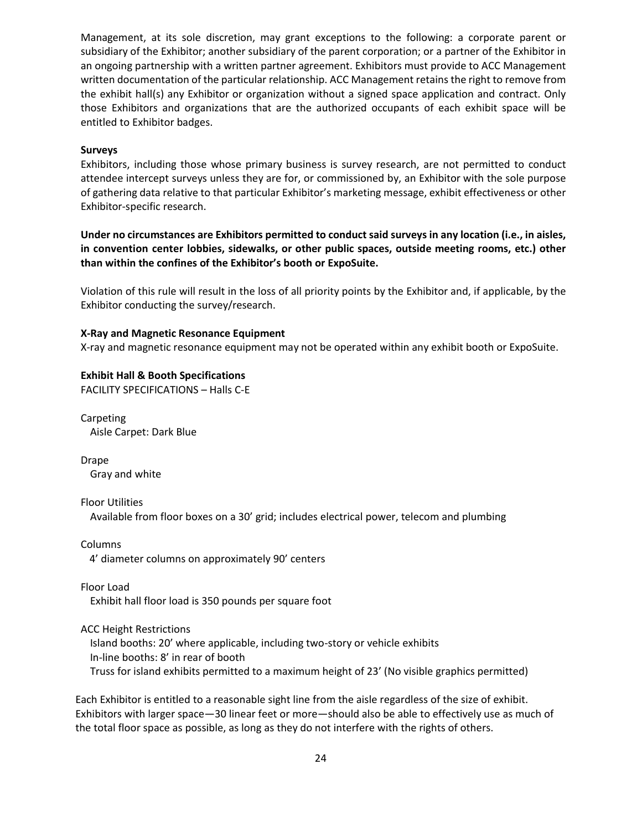Management, at its sole discretion, may grant exceptions to the following: a corporate parent or subsidiary of the Exhibitor; another subsidiary of the parent corporation; or a partner of the Exhibitor in an ongoing partnership with a written partner agreement. Exhibitors must provide to ACC Management written documentation of the particular relationship. ACC Management retains the right to remove from the exhibit hall(s) any Exhibitor or organization without a signed space application and contract. Only those Exhibitors and organizations that are the authorized occupants of each exhibit space will be entitled to Exhibitor badges.

#### **Surveys**

Exhibitors, including those whose primary business is survey research, are not permitted to conduct attendee intercept surveys unless they are for, or commissioned by, an Exhibitor with the sole purpose of gathering data relative to that particular Exhibitor's marketing message, exhibit effectiveness or other Exhibitor‐specific research.

**Under no circumstances are Exhibitors permitted to conduct said surveys in any location (i.e., in aisles, in convention center lobbies, sidewalks, or other public spaces, outside meeting rooms, etc.) other than within the confines of the Exhibitor's booth or ExpoSuite.** 

Violation of this rule will result in the loss of all priority points by the Exhibitor and, if applicable, by the Exhibitor conducting the survey/research.

#### **X‐Ray and Magnetic Resonance Equipment**

X‐ray and magnetic resonance equipment may not be operated within any exhibit booth or ExpoSuite.

#### **Exhibit Hall & Booth Specifications**

FACILITY SPECIFICATIONS – Halls C‐E

Carpeting Aisle Carpet: Dark Blue

Drape Gray and white

Floor Utilities Available from floor boxes on a 30' grid; includes electrical power, telecom and plumbing

Columns 4' diameter columns on approximately 90' centers

Floor Load Exhibit hall floor load is 350 pounds per square foot

ACC Height Restrictions

Island booths: 20' where applicable, including two‐story or vehicle exhibits In‐line booths: 8' in rear of booth Truss for island exhibits permitted to a maximum height of 23' (No visible graphics permitted)

Each Exhibitor is entitled to a reasonable sight line from the aisle regardless of the size of exhibit. Exhibitors with larger space—30 linear feet or more—should also be able to effectively use as much of the total floor space as possible, as long as they do not interfere with the rights of others.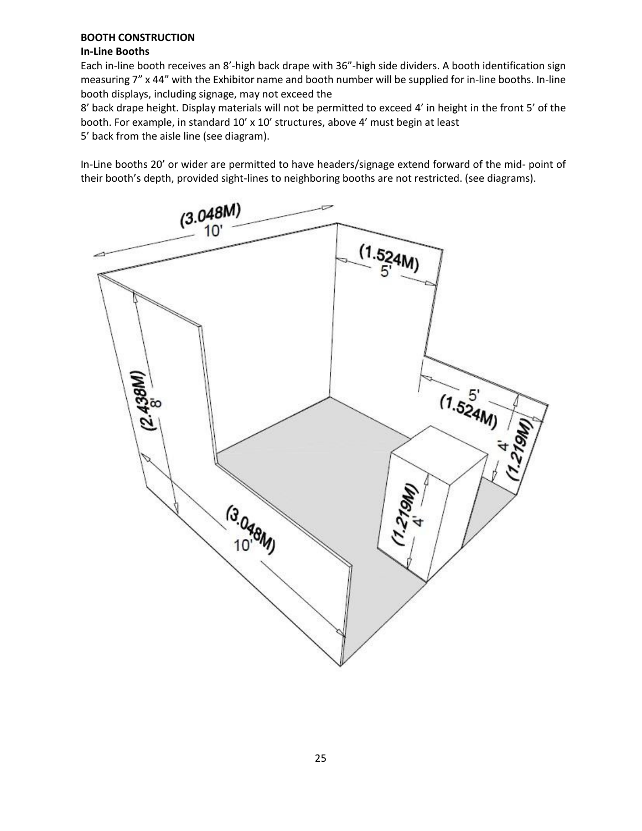## **BOOTH CONSTRUCTION**

## **In‐Line Booths**

Each in-line booth receives an 8'-high back drape with 36"-high side dividers. A booth identification sign measuring 7" x 44" with the Exhibitor name and booth number will be supplied for in-line booths. In-line booth displays, including signage, may not exceed the

8' back drape height. Display materials will not be permitted to exceed 4' in height in the front 5' of the booth. For example, in standard 10' x 10' structures, above 4' must begin at least

5' back from the aisle line (see diagram).

In‐Line booths 20' or wider are permitted to have headers/signage extend forward of the mid‐ point of their booth's depth, provided sight‐lines to neighboring booths are not restricted. (see diagrams).

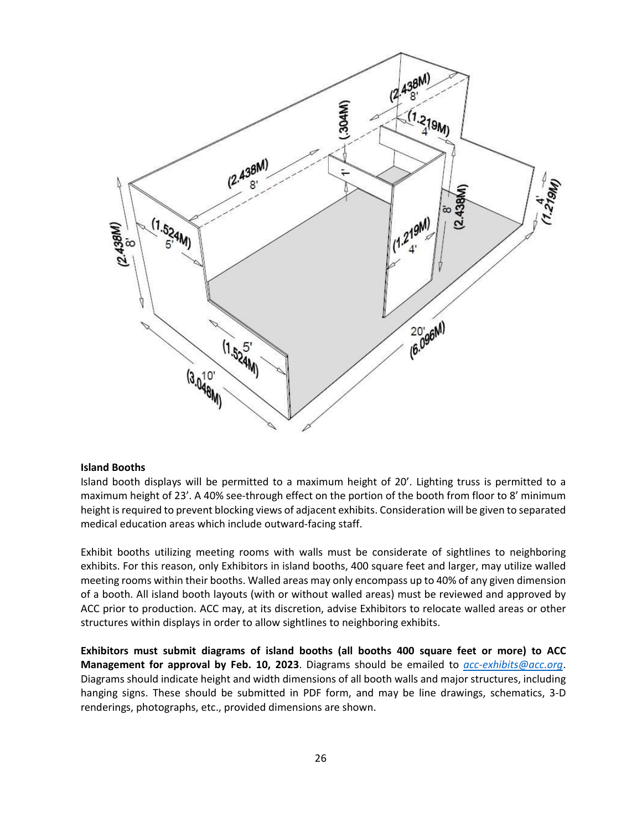

#### **Island Booths**

Island booth displays will be permitted to a maximum height of 20'. Lighting truss is permitted to a maximum height of 23'. A 40% see-through effect on the portion of the booth from floor to 8' minimum height is required to prevent blocking views of adjacent exhibits. Consideration will be given to separated medical education areas which include outward‐facing staff.

Exhibit booths utilizing meeting rooms with walls must be considerate of sightlines to neighboring exhibits. For this reason, only Exhibitors in island booths, 400 square feet and larger, may utilize walled meeting rooms within their booths. Walled areas may only encompass up to 40% of any given dimension of a booth. All island booth layouts (with or without walled areas) must be reviewed and approved by ACC prior to production. ACC may, at its discretion, advise Exhibitors to relocate walled areas or other structures within displays in order to allow sightlines to neighboring exhibits.

**Exhibitors must submit diagrams of island booths (all booths 400 square feet or more) to ACC Management for approval by Feb. 10, 2023**. Diagrams should be emailed to *acc‐exhibits@acc.org*. Diagrams should indicate height and width dimensions of all booth walls and major structures, including hanging signs. These should be submitted in PDF form, and may be line drawings, schematics, 3‐D renderings, photographs, etc., provided dimensions are shown.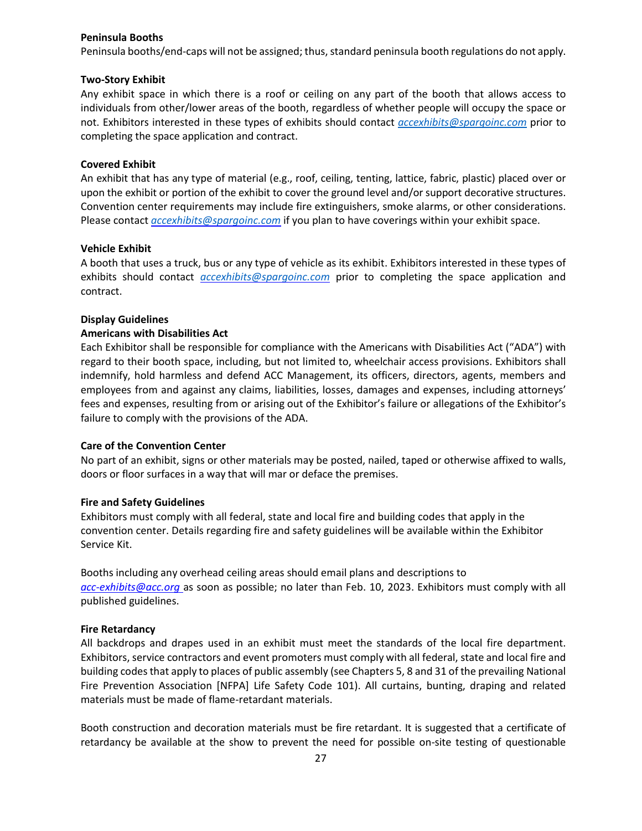#### **Peninsula Booths**

Peninsula booths/end-caps will not be assigned; thus, standard peninsula booth regulations do not apply.

#### **Two‐Story Exhibit**

Any exhibit space in which there is a roof or ceiling on any part of the booth that allows access to individuals from other/lower areas of the booth, regardless of whether people will occupy the space or not. Exhibitors interested in these types of exhibits should contact *accexhibits@spargoinc.com* prior to completing the space application and contract.

#### **Covered Exhibit**

An exhibit that has any type of material (e.g., roof, ceiling, tenting, lattice, fabric, plastic) placed over or upon the exhibit or portion of the exhibit to cover the ground level and/or support decorative structures. Convention center requirements may include fire extinguishers, smoke alarms, or other considerations. Please contact *accexhibits@spargoinc.com* if you plan to have coverings within your exhibit space.

#### **Vehicle Exhibit**

A booth that uses a truck, bus or any type of vehicle as its exhibit. Exhibitors interested in these types of exhibits should contact *accexhibits@spargoinc.com* prior to completing the space application and contract.

#### **Display Guidelines**

#### **Americans with Disabilities Act**

Each Exhibitor shall be responsible for compliance with the Americans with Disabilities Act ("ADA") with regard to their booth space, including, but not limited to, wheelchair access provisions. Exhibitors shall indemnify, hold harmless and defend ACC Management, its officers, directors, agents, members and employees from and against any claims, liabilities, losses, damages and expenses, including attorneys' fees and expenses, resulting from or arising out of the Exhibitor's failure or allegations of the Exhibitor's failure to comply with the provisions of the ADA.

#### **Care of the Convention Center**

No part of an exhibit, signs or other materials may be posted, nailed, taped or otherwise affixed to walls, doors or floor surfaces in a way that will mar or deface the premises.

## **Fire and Safety Guidelines**

Exhibitors must comply with all federal, state and local fire and building codes that apply in the convention center. Details regarding fire and safety guidelines will be available within the Exhibitor Service Kit.

Booths including any overhead ceiling areas should email plans and descriptions to *acc‐exhibits@acc.org* as soon as possible; no later than Feb. 10, 2023. Exhibitors must comply with all published guidelines.

#### **Fire Retardancy**

All backdrops and drapes used in an exhibit must meet the standards of the local fire department. Exhibitors, service contractors and event promoters must comply with all federal, state and local fire and building codesthat apply to places of public assembly (see Chapters 5, 8 and 31 of the prevailing National Fire Prevention Association [NFPA] Life Safety Code 101). All curtains, bunting, draping and related materials must be made of flame‐retardant materials.

Booth construction and decoration materials must be fire retardant. It is suggested that a certificate of retardancy be available at the show to prevent the need for possible on‐site testing of questionable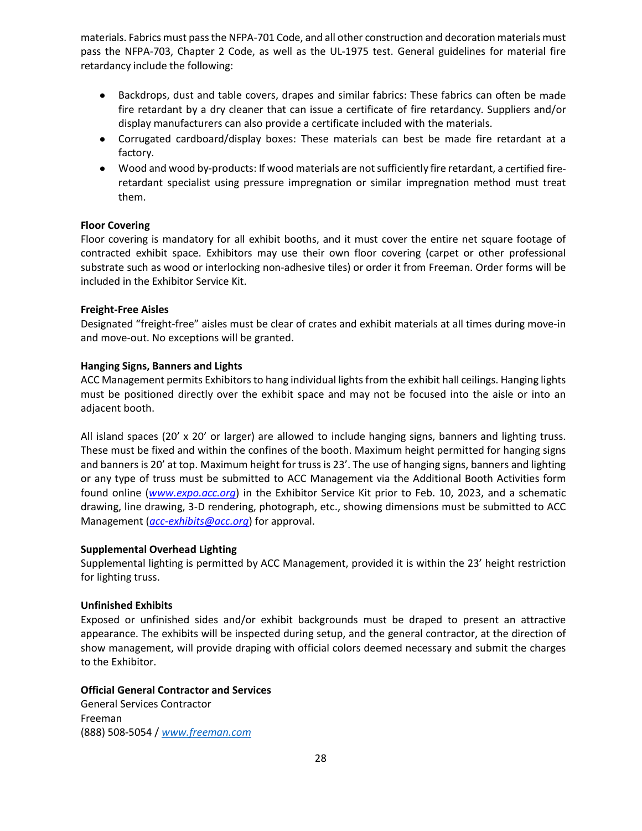materials. Fabrics must passthe NFPA‐701 Code, and all other construction and decoration materials must pass the NFPA‐703, Chapter 2 Code, as well as the UL‐1975 test. General guidelines for material fire retardancy include the following:

- Backdrops, dust and table covers, drapes and similar fabrics: These fabrics can often be made fire retardant by a dry cleaner that can issue a certificate of fire retardancy. Suppliers and/or display manufacturers can also provide a certificate included with the materials.
- Corrugated cardboard/display boxes: These materials can best be made fire retardant at a factory.
- Wood and wood by-products: If wood materials are not sufficiently fire retardant, a certified fireretardant specialist using pressure impregnation or similar impregnation method must treat them.

## **Floor Covering**

Floor covering is mandatory for all exhibit booths, and it must cover the entire net square footage of contracted exhibit space. Exhibitors may use their own floor covering (carpet or other professional substrate such as wood or interlocking non‐adhesive tiles) or order it from Freeman. Order forms will be included in the Exhibitor Service Kit.

#### **Freight‐Free Aisles**

Designated "freight‐free" aisles must be clear of crates and exhibit materials at all times during move‐in and move‐out. No exceptions will be granted.

## **Hanging Signs, Banners and Lights**

ACC Management permits Exhibitors to hang individual lights from the exhibit hall ceilings. Hanging lights must be positioned directly over the exhibit space and may not be focused into the aisle or into an adjacent booth.

All island spaces (20'  $\times$  20' or larger) are allowed to include hanging signs, banners and lighting truss. These must be fixed and within the confines of the booth. Maximum height permitted for hanging signs and banners is 20' at top. Maximum height for truss is 23'. The use of hanging signs, banners and lighting or any type of truss must be submitted to ACC Management via the Additional Booth Activities form found online (*www.expo.acc.org*) in the Exhibitor Service Kit prior to Feb. 10, 2023, and a schematic drawing, line drawing, 3‐D rendering, photograph, etc., showing dimensions must be submitted to ACC Management (*acc‐exhibits@acc.org*) for approval.

#### **Supplemental Overhead Lighting**

Supplemental lighting is permitted by ACC Management, provided it is within the 23' height restriction for lighting truss.

## **Unfinished Exhibits**

Exposed or unfinished sides and/or exhibit backgrounds must be draped to present an attractive appearance. The exhibits will be inspected during setup, and the general contractor, at the direction of show management, will provide draping with official colors deemed necessary and submit the charges to the Exhibitor.

#### **Official General Contractor and Services**

General Services Contractor Freeman (888) 508‐5054 / *www.freeman.com*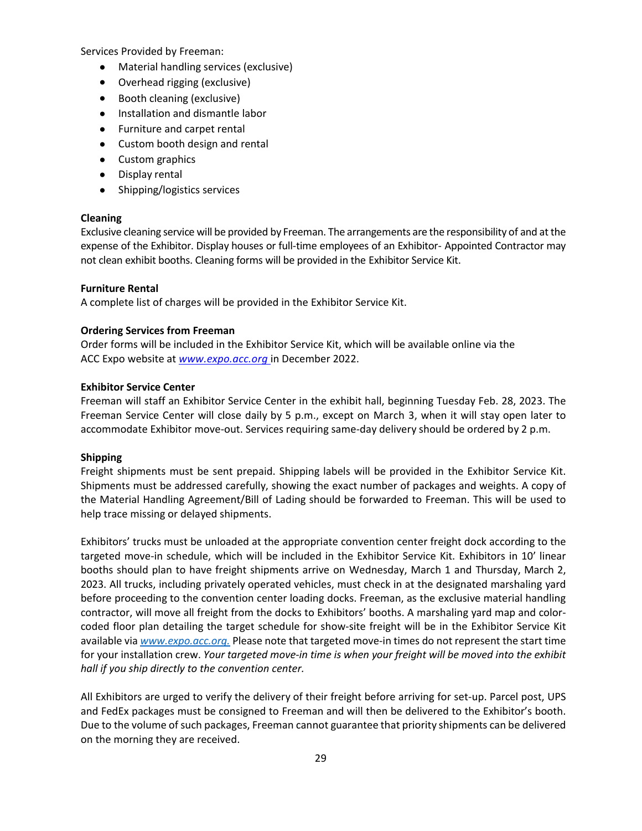Services Provided by Freeman:

- Material handling services (exclusive)
- Overhead rigging (exclusive)
- Booth cleaning (exclusive)
- Installation and dismantle labor
- Furniture and carpet rental
- Custom booth design and rental
- Custom graphics
- Display rental
- Shipping/logistics services

## **Cleaning**

Exclusive cleaning service will be provided by Freeman. The arrangements are the responsibility of and at the expense of the Exhibitor. Display houses or full‐time employees of an Exhibitor‐ Appointed Contractor may not clean exhibit booths. Cleaning forms will be provided in the Exhibitor Service Kit.

## **Furniture Rental**

A complete list of charges will be provided in the Exhibitor Service Kit.

## **Ordering Services from Freeman**

Order forms will be included in the Exhibitor Service Kit, which will be available online via the ACC Expo website at *www.expo.acc.org* in December 2022.

## **Exhibitor Service Center**

Freeman will staff an Exhibitor Service Center in the exhibit hall, beginning Tuesday Feb. 28, 2023. The Freeman Service Center will close daily by 5 p.m., except on March 3, when it will stay open later to accommodate Exhibitor move-out. Services requiring same-day delivery should be ordered by 2 p.m.

#### **Shipping**

Freight shipments must be sent prepaid. Shipping labels will be provided in the Exhibitor Service Kit. Shipments must be addressed carefully, showing the exact number of packages and weights. A copy of the Material Handling Agreement/Bill of Lading should be forwarded to Freeman. This will be used to help trace missing or delayed shipments.

Exhibitors' trucks must be unloaded at the appropriate convention center freight dock according to the targeted move‐in schedule, which will be included in the Exhibitor Service Kit. Exhibitors in 10' linear booths should plan to have freight shipments arrive on Wednesday, March 1 and Thursday, March 2, 2023. All trucks, including privately operated vehicles, must check in at the designated marshaling yard before proceeding to the convention center loading docks. Freeman, as the exclusive material handling contractor, will move all freight from the docks to Exhibitors' booths. A marshaling yard map and color‐ coded floor plan detailing the target schedule for show‐site freight will be in the Exhibitor Service Kit available via *www.expo.acc.org.* Please note that targeted move-in times do not represent the start time for your installation crew. *Your targeted move‐in time is when your freight will be moved into the exhibit hall if you ship directly to the convention center.*

All Exhibitors are urged to verify the delivery of their freight before arriving for set‐up. Parcel post, UPS and FedEx packages must be consigned to Freeman and will then be delivered to the Exhibitor's booth. Due to the volume of such packages, Freeman cannot guarantee that priority shipments can be delivered on the morning they are received.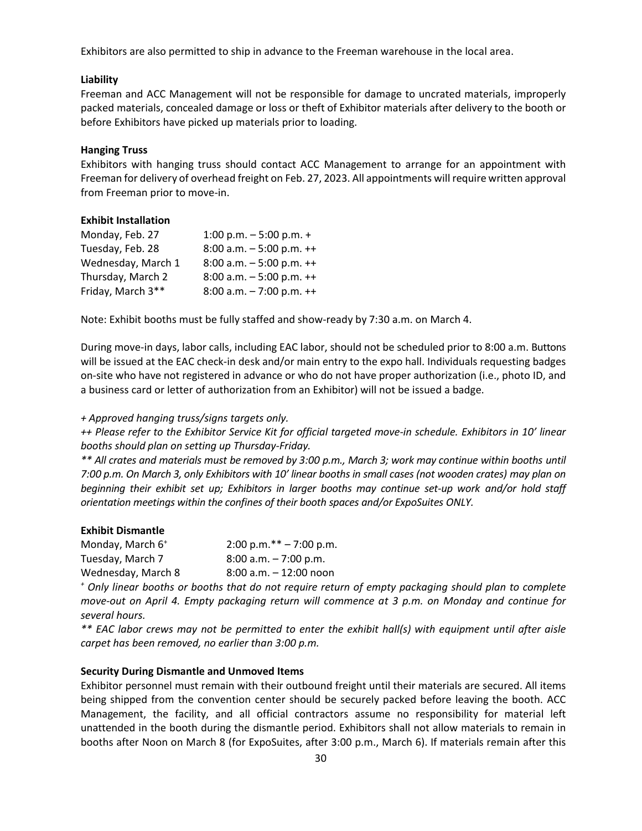Exhibitors are also permitted to ship in advance to the Freeman warehouse in the local area.

## **Liability**

Freeman and ACC Management will not be responsible for damage to uncrated materials, improperly packed materials, concealed damage or loss or theft of Exhibitor materials after delivery to the booth or before Exhibitors have picked up materials prior to loading.

## **Hanging Truss**

Exhibitors with hanging truss should contact ACC Management to arrange for an appointment with Freeman for delivery of overhead freight on Feb. 27, 2023. All appointments will require written approval from Freeman prior to move‐in.

## **Exhibit Installation**

| Monday, Feb. 27    | 1:00 p.m. $-5:00$ p.m. $+$    |
|--------------------|-------------------------------|
| Tuesday, Feb. 28   | 8:00 a.m. $-5:00$ p.m. $++$   |
| Wednesday, March 1 | 8:00 a.m. $-5:00$ p.m. $++$   |
| Thursday, March 2  | 8:00 a.m. $-5:00$ p.m. $++$   |
| Friday, March 3**  | $8:00$ a.m. $-7:00$ p.m. $++$ |

Note: Exhibit booths must be fully staffed and show‐ready by 7:30 a.m. on March 4.

During move‐in days, labor calls, including EAC labor, should not be scheduled prior to 8:00 a.m. Buttons will be issued at the EAC check-in desk and/or main entry to the expo hall. Individuals requesting badges on‐site who have not registered in advance or who do not have proper authorization (i.e., photo ID, and a business card or letter of authorization from an Exhibitor) will not be issued a badge.

*+ Approved hanging truss/signs targets only.*

++ Please refer to the Exhibitor Service Kit for official targeted move-in schedule. Exhibitors in 10' linear *booths should plan on setting up Thursday‐Friday.*

\*\* All crates and materials must be removed by 3:00 p.m., March 3; work may continue within booths until 7:00 p.m. On March 3, only Exhibitors with 10' linear booths in small cases (not wooden crates) may plan on beginning their exhibit set up; Exhibitors in larger booths may continue set-up work and/or hold staff *orientation meetings within the confines of their booth spaces and/or ExpoSuites ONLY.*

| <b>Exhibit Dismantle</b>     |                           |
|------------------------------|---------------------------|
| Monday, March 6 <sup>+</sup> | 2:00 p.m.** $- 7:00$ p.m. |
| Tuesday, March 7             | $8:00$ a.m. $-7:00$ p.m.  |
| Wednesday, March 8           | $8:00$ a.m. $-12:00$ noon |

\* Only linear booths or booths that do not require return of empty packaging should plan to complete move-out on April 4. Empty packaging return will commence at 3 p.m. on Monday and continue for *several hours.*

\*\* EAC labor crews may not be permitted to enter the exhibit hall(s) with equipment until after aisle *carpet has been removed, no earlier than 3:00 p.m.*

## **Security During Dismantle and Unmoved Items**

Exhibitor personnel must remain with their outbound freight until their materials are secured. All items being shipped from the convention center should be securely packed before leaving the booth. ACC Management, the facility, and all official contractors assume no responsibility for material left unattended in the booth during the dismantle period. Exhibitors shall not allow materials to remain in booths after Noon on March 8 (for ExpoSuites, after 3:00 p.m., March 6). If materials remain after this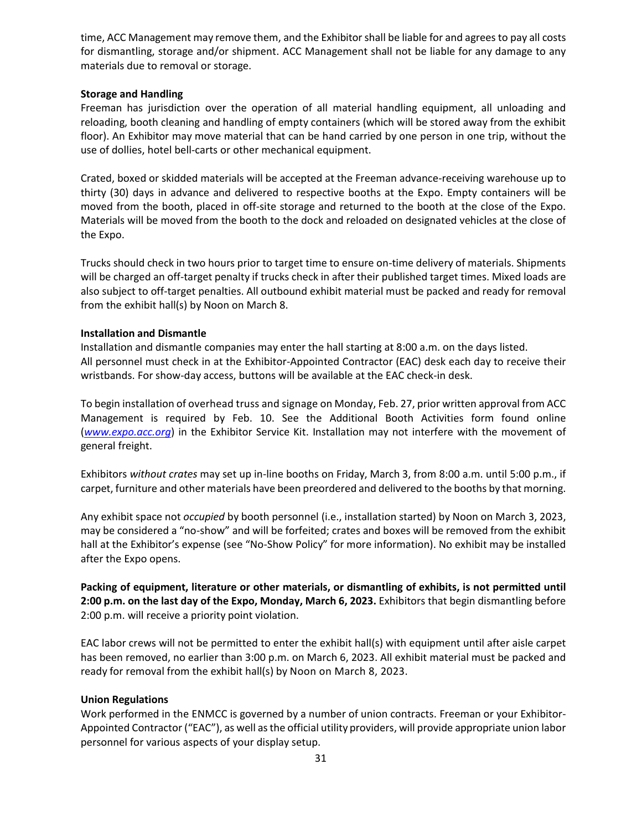time, ACC Management may remove them, and the Exhibitorshall be liable for and agreesto pay all costs for dismantling, storage and/or shipment. ACC Management shall not be liable for any damage to any materials due to removal or storage.

## **Storage and Handling**

Freeman has jurisdiction over the operation of all material handling equipment, all unloading and reloading, booth cleaning and handling of empty containers (which will be stored away from the exhibit floor). An Exhibitor may move material that can be hand carried by one person in one trip, without the use of dollies, hotel bell‐carts or other mechanical equipment.

Crated, boxed or skidded materials will be accepted at the Freeman advance‐receiving warehouse up to thirty (30) days in advance and delivered to respective booths at the Expo. Empty containers will be moved from the booth, placed in off-site storage and returned to the booth at the close of the Expo. Materials will be moved from the booth to the dock and reloaded on designated vehicles at the close of the Expo.

Trucks should check in two hours prior to target time to ensure on‐time delivery of materials. Shipments will be charged an off-target penalty if trucks check in after their published target times. Mixed loads are also subject to off‐target penalties. All outbound exhibit material must be packed and ready for removal from the exhibit hall(s) by Noon on March 8.

## **Installation and Dismantle**

Installation and dismantle companies may enter the hall starting at 8:00 a.m. on the days listed. All personnel must check in at the Exhibitor‐Appointed Contractor (EAC) desk each day to receive their wristbands. For show‐day access, buttons will be available at the EAC check‐in desk.

To begin installation of overhead truss and signage on Monday, Feb. 27, prior written approval from ACC Management is required by Feb. 10. See the Additional Booth Activities form found online (*www.expo.acc.org*) in the Exhibitor Service Kit. Installation may not interfere with the movement of general freight.

Exhibitors *without crates* may set up in‐line booths on Friday, March 3, from 8:00 a.m. until 5:00 p.m., if carpet, furniture and other materials have been preordered and delivered to the booths by that morning.

Any exhibit space not *occupied* by booth personnel (i.e., installation started) by Noon on March 3, 2023, may be considered a "no‐show" and will be forfeited; crates and boxes will be removed from the exhibit hall at the Exhibitor's expense (see "No-Show Policy" for more information). No exhibit may be installed after the Expo opens.

**Packing of equipment, literature or other materials, or dismantling of exhibits, is not permitted until 2:00 p.m. on the last day of the Expo, Monday, March 6, 2023.** Exhibitors that begin dismantling before 2:00 p.m. will receive a priority point violation.

EAC labor crews will not be permitted to enter the exhibit hall(s) with equipment until after aisle carpet has been removed, no earlier than 3:00 p.m. on March 6, 2023. All exhibit material must be packed and ready for removal from the exhibit hall(s) by Noon on March 8, 2023.

## **Union Regulations**

Work performed in the ENMCC is governed by a number of union contracts. Freeman or your Exhibitor-Appointed Contractor ("EAC"), as well asthe official utility providers, will provide appropriate union labor personnel for various aspects of your display setup.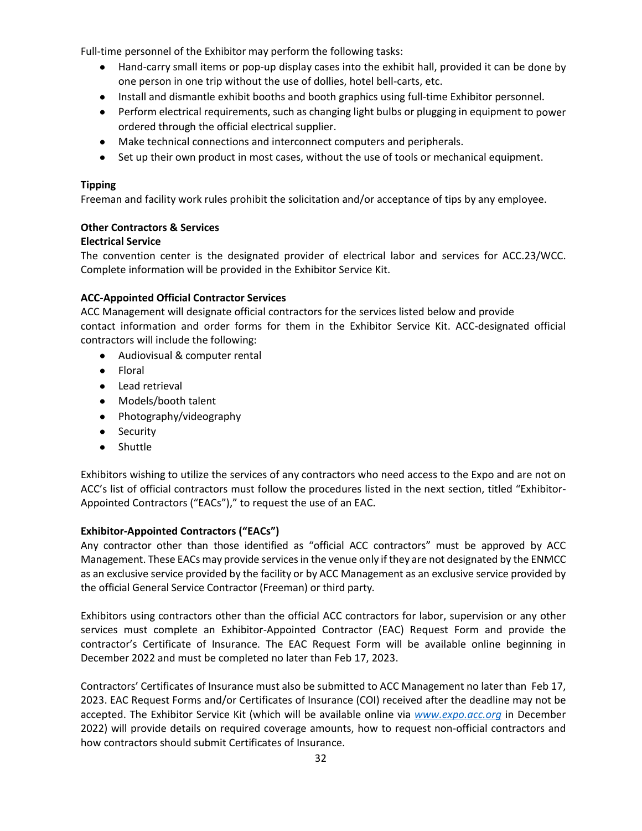Full-time personnel of the Exhibitor may perform the following tasks:

- Hand-carry small items or pop-up display cases into the exhibit hall, provided it can be done by one person in one trip without the use of dollies, hotel bell‐carts, etc.
- Install and dismantle exhibit booths and booth graphics using full‐time Exhibitor personnel.
- Perform electrical requirements, such as changing light bulbs or plugging in equipment to power ordered through the official electrical supplier.
- Make technical connections and interconnect computers and peripherals.
- Set up their own product in most cases, without the use of tools or mechanical equipment.

## **Tipping**

Freeman and facility work rules prohibit the solicitation and/or acceptance of tips by any employee.

## **Other Contractors & Services**

## **Electrical Service**

The convention center is the designated provider of electrical labor and services for ACC.23/WCC. Complete information will be provided in the Exhibitor Service Kit.

## **ACC‐Appointed Official Contractor Services**

ACC Management will designate official contractors for the services listed below and provide contact information and order forms for them in the Exhibitor Service Kit. ACC‐designated official contractors will include the following:

- Audiovisual & computer rental
- Floral
- Lead retrieval
- Models/booth talent
- Photography/videography
- Security
- Shuttle

Exhibitors wishing to utilize the services of any contractors who need access to the Expo and are not on ACC's list of official contractors must follow the procedures listed in the next section, titled "Exhibitor‐ Appointed Contractors ("EACs")," to request the use of an EAC.

## **Exhibitor‐Appointed Contractors ("EACs")**

Any contractor other than those identified as "official ACC contractors" must be approved by ACC Management. These EACs may provide servicesin the venue only if they are not designated by the ENMCC as an exclusive service provided by the facility or by ACC Management as an exclusive service provided by the official General Service Contractor (Freeman) or third party.

Exhibitors using contractors other than the official ACC contractors for labor, supervision or any other services must complete an Exhibitor‐Appointed Contractor (EAC) Request Form and provide the contractor's Certificate of Insurance. The EAC Request Form will be available online beginning in December 2022 and must be completed no later than Feb 17, 2023.

Contractors' Certificates of Insurance must also be submitted to ACC Management no later than Feb 17, 2023. EAC Request Forms and/or Certificates of Insurance (COI) received after the deadline may not be accepted. The Exhibitor Service Kit (which will be available online via *www.expo.acc.org* in December 2022) will provide details on required coverage amounts, how to request non-official contractors and how contractors should submit Certificates of Insurance.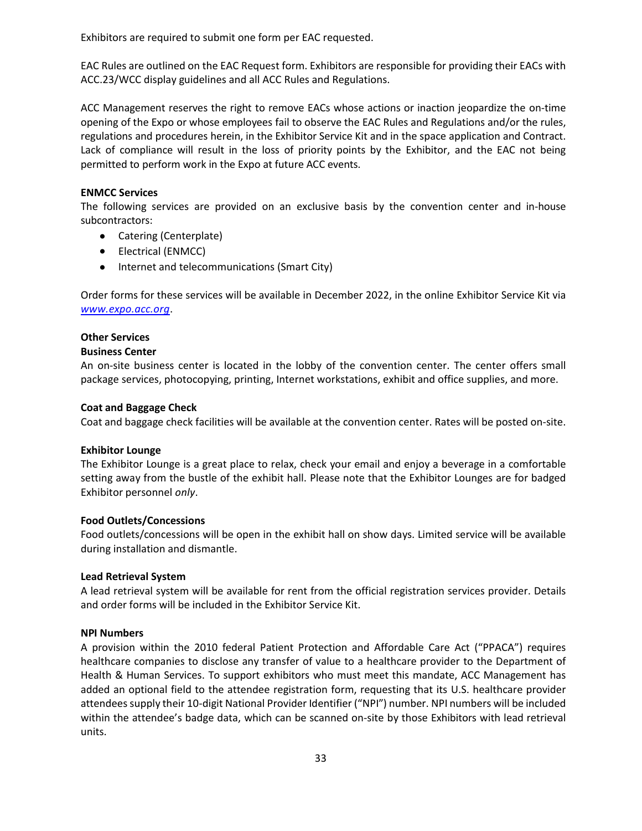Exhibitors are required to submit one form per EAC requested.

EAC Rules are outlined on the EAC Request form. Exhibitors are responsible for providing their EACs with ACC.23/WCC display guidelines and all ACC Rules and Regulations.

ACC Management reserves the right to remove EACs whose actions or inaction jeopardize the on‐time opening of the Expo or whose employees fail to observe the EAC Rules and Regulations and/or the rules, regulations and procedures herein, in the Exhibitor Service Kit and in the space application and Contract. Lack of compliance will result in the loss of priority points by the Exhibitor, and the EAC not being permitted to perform work in the Expo at future ACC events.

## **ENMCC Services**

The following services are provided on an exclusive basis by the convention center and in‐house subcontractors:

- Catering (Centerplate)
- Electrical (ENMCC)
- Internet and telecommunications (Smart City)

Order forms for these services will be available in December 2022, in the online Exhibitor Service Kit via *www.expo.acc.org*.

## **Other Services**

#### **Business Center**

An on‐site business center is located in the lobby of the convention center. The center offers small package services, photocopying, printing, Internet workstations, exhibit and office supplies, and more.

## **Coat and Baggage Check**

Coat and baggage check facilities will be available at the convention center. Rates will be posted on‐site.

#### **Exhibitor Lounge**

The Exhibitor Lounge is a great place to relax, check your email and enjoy a beverage in a comfortable setting away from the bustle of the exhibit hall. Please note that the Exhibitor Lounges are for badged Exhibitor personnel *only*.

#### **Food Outlets/Concessions**

Food outlets/concessions will be open in the exhibit hall on show days. Limited service will be available during installation and dismantle.

#### **Lead Retrieval System**

A lead retrieval system will be available for rent from the official registration services provider. Details and order forms will be included in the Exhibitor Service Kit.

#### **NPI Numbers**

A provision within the 2010 federal Patient Protection and Affordable Care Act ("PPACA") requires healthcare companies to disclose any transfer of value to a healthcare provider to the Department of Health & Human Services. To support exhibitors who must meet this mandate, ACC Management has added an optional field to the attendee registration form, requesting that its U.S. healthcare provider attendees supply their 10-digit National Provider Identifier ("NPI") number. NPI numbers will be included within the attendee's badge data, which can be scanned on-site by those Exhibitors with lead retrieval units.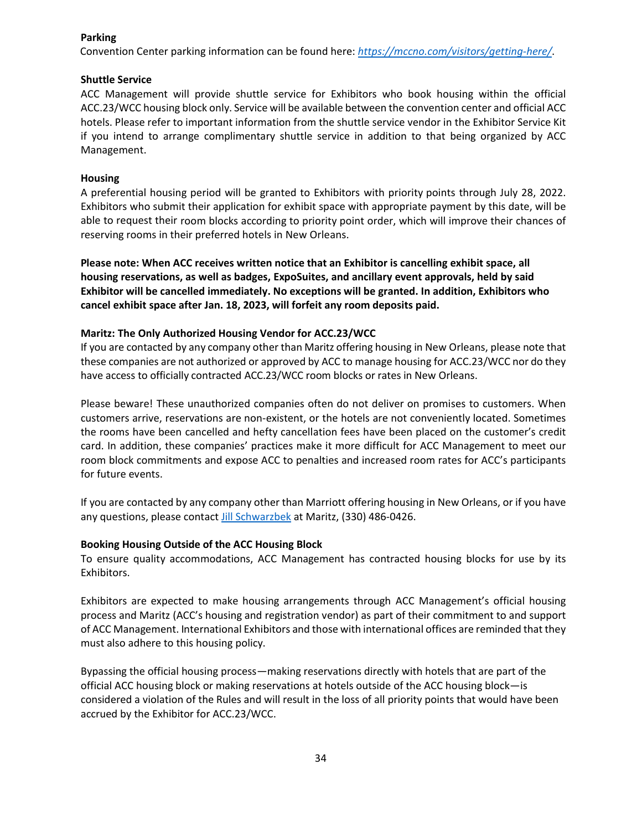## **Parking**

Convention Center parking information can be found here: *https://mccno.com/visitors/getting‐here/*.

## **Shuttle Service**

ACC Management will provide shuttle service for Exhibitors who book housing within the official ACC.23/WCC housing block only. Service will be available between the convention center and official ACC hotels. Please refer to important information from the shuttle service vendor in the Exhibitor Service Kit if you intend to arrange complimentary shuttle service in addition to that being organized by ACC Management.

## **Housing**

A preferential housing period will be granted to Exhibitors with priority points through July 28, 2022. Exhibitors who submit their application for exhibit space with appropriate payment by this date, will be able to request their room blocks according to priority point order, which will improve their chances of reserving rooms in their preferred hotels in New Orleans.

**Please note: When ACC receives written notice that an Exhibitor is cancelling exhibit space, all housing reservations, as well as badges, ExpoSuites, and ancillary event approvals, held by said Exhibitor will be cancelled immediately. No exceptions will be granted. In addition, Exhibitors who cancel exhibit space after Jan. 18, 2023, will forfeit any room deposits paid.**

## **Maritz: The Only Authorized Housing Vendor for ACC.23/WCC**

If you are contacted by any company other than Maritz offering housing in New Orleans, please note that these companies are not authorized or approved by ACC to manage housing for ACC.23/WCC nor do they have access to officially contracted ACC.23/WCC room blocks or rates in New Orleans.

Please beware! These unauthorized companies often do not deliver on promises to customers. When customers arrive, reservations are non‐existent, or the hotels are not conveniently located. Sometimes the rooms have been cancelled and hefty cancellation fees have been placed on the customer's credit card. In addition, these companies' practices make it more difficult for ACC Management to meet our room block commitments and expose ACC to penalties and increased room rates for ACC's participants for future events.

If you are contacted by any company other than Marriott offering housing in New Orleans, or if you have any questions, please contact Jill Schwarzbek at Maritz, (330) 486‐0426.

## **Booking Housing Outside of the ACC Housing Block**

To ensure quality accommodations, ACC Management has contracted housing blocks for use by its Exhibitors.

Exhibitors are expected to make housing arrangements through ACC Management's official housing process and Maritz (ACC's housing and registration vendor) as part of their commitment to and support of ACC Management. International Exhibitors and those with international offices are reminded that they must also adhere to this housing policy.

Bypassing the official housing process—making reservations directly with hotels that are part of the official ACC housing block or making reservations at hotels outside of the ACC housing block—is considered a violation of the Rules and will result in the loss of all priority points that would have been accrued by the Exhibitor for ACC.23/WCC.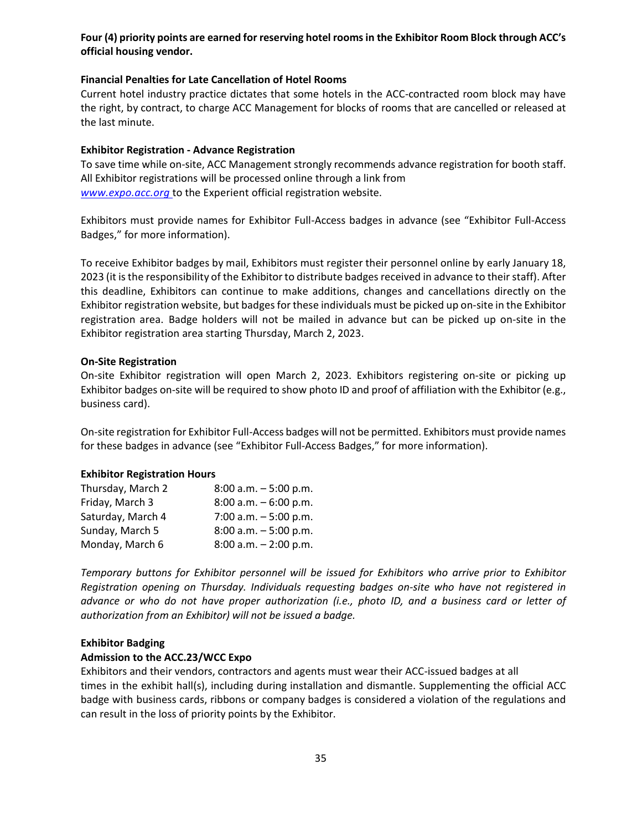## **Four (4) priority points are earned for reserving hotel roomsin the Exhibitor Room Block through ACC's official housing vendor.**

#### **Financial Penalties for Late Cancellation of Hotel Rooms**

Current hotel industry practice dictates that some hotels in the ACC‐contracted room block may have the right, by contract, to charge ACC Management for blocks of rooms that are cancelled or released at the last minute.

#### **Exhibitor Registration ‐ Advance Registration**

To save time while on‐site, ACC Management strongly recommends advance registration for booth staff. All Exhibitor registrations will be processed online through a link from *www.expo.acc.org* to the Experient official registration website.

Exhibitors must provide names for Exhibitor Full‐Access badges in advance (see "Exhibitor Full‐Access Badges," for more information).

To receive Exhibitor badges by mail, Exhibitors must register their personnel online by early January 18, 2023 (it is the responsibility of the Exhibitor to distribute badges received in advance to their staff). After this deadline, Exhibitors can continue to make additions, changes and cancellations directly on the Exhibitor registration website, but badges for these individuals must be picked up on-site in the Exhibitor registration area. Badge holders will not be mailed in advance but can be picked up on‐site in the Exhibitor registration area starting Thursday, March 2, 2023.

#### **On‐Site Registration**

On‐site Exhibitor registration will open March 2, 2023. Exhibitors registering on‐site or picking up Exhibitor badges on-site will be required to show photo ID and proof of affiliation with the Exhibitor (e.g., business card).

On‐site registration for Exhibitor Full‐Access badges will not be permitted. Exhibitors must provide names for these badges in advance (see "Exhibitor Full‐Access Badges," for more information).

#### **Exhibitor Registration Hours**

| Thursday, March 2 | $8:00$ a.m. $-5:00$ p.m. |
|-------------------|--------------------------|
| Friday, March 3   | $8:00$ a.m. $-6:00$ p.m. |
| Saturday, March 4 | 7:00 a.m. $-5:00$ p.m.   |
| Sunday, March 5   | $8:00$ a.m. $-5:00$ p.m. |
| Monday, March 6   | $8:00$ a.m. $-2:00$ p.m. |

*Temporary buttons for Exhibitor personnel will be issued for Exhibitors who arrive prior to Exhibitor Registration opening on Thursday. Individuals requesting badges on‐site who have not registered in advance or who do not have proper authorization (i.e., photo ID, and a business card or letter of authorization from an Exhibitor) will not be issued a badge.*

#### **Exhibitor Badging**

#### **Admission to the ACC.23/WCC Expo**

Exhibitors and their vendors, contractors and agents must wear their ACC‐issued badges at all times in the exhibit hall(s), including during installation and dismantle. Supplementing the official ACC badge with business cards, ribbons or company badges is considered a violation of the regulations and can result in the loss of priority points by the Exhibitor.